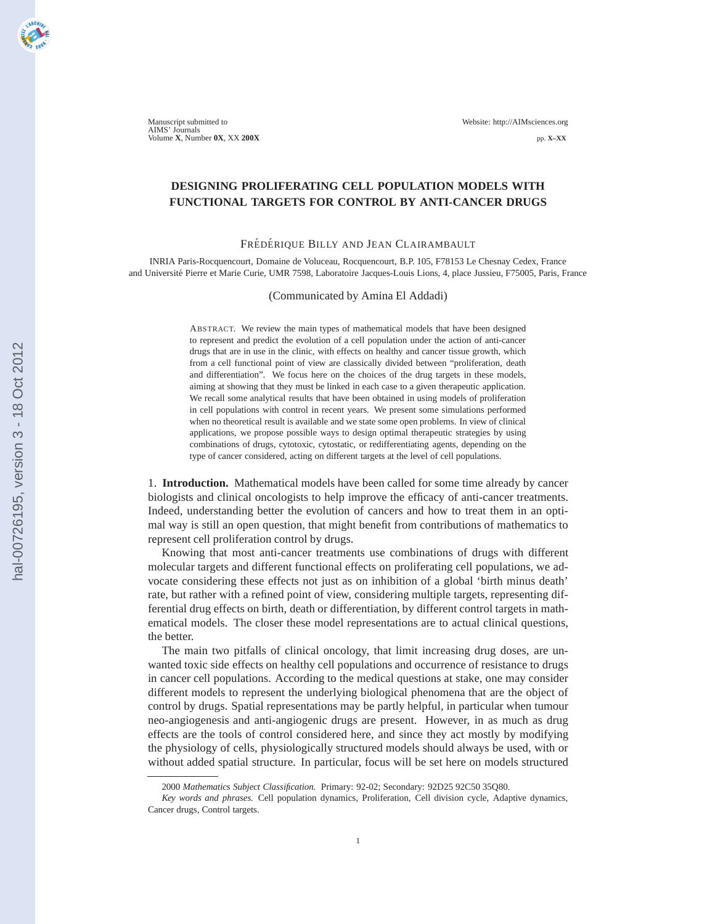Manuscript submitted to Website: http://AIMsciences.org AIMS' Journals Volume **X**, Number **0X**, XX **200X** pp. **X–XX**

# **DESIGNING PROLIFERATING CELL POPULATION MODELS WITH FUNCTIONAL TARGETS FOR CONTROL BY ANTI-CANCER DRUGS**

## FRÉDÉRIQUE BILLY AND JEAN CLAIRAMBAULT

INRIA Paris-Rocquencourt, Domaine de Voluceau, Rocquencourt, B.P. 105, F78153 Le Chesnay Cedex, France and Université Pierre et Marie Curie, UMR 7598, Laboratoire Jacques-Louis Lions, 4, place Jussieu, F75005, Paris, France

#### (Communicated by Amina El Addadi)

ABSTRACT. We review the main types of mathematical models that have been designed to represent and predict the evolution of a cell population under the action of anti-cancer drugs that are in use in the clinic, with effects on healthy and cancer tissue growth, which from a cell functional point of view are classically divided between "proliferation, death and differentiation". We focus here on the choices of the drug targets in these models, aiming at showing that they must be linked in each case to a given therapeutic application. We recall some analytical results that have been obtained in using models of proliferation in cell populations with control in recent years. We present some simulations performed when no theoretical result is available and we state some open problems. In view of clinical applications, we propose possible ways to design optimal therapeutic strategies by using combinations of drugs, cytotoxic, cytostatic, or redifferentiating agents, depending on the type of cancer considered, acting on different targets at the level of cell populations.

1. **Introduction.** Mathematical models have been called for some time already by cancer biologists and clinical oncologists to help improve the efficacy of anti-cancer treatments. Indeed, understanding better the evolution of cancers and how to treat them in an optimal way is still an open question, that might benefit from contributions of mathematics to represent cell proliferation control by drugs.

Knowing that most anti-cancer treatments use combinations of drugs with different molecular targets and different functional effects on proliferating cell populations, we advocate considering these effects not just as on inhibition of a global 'birth minus death' rate, but rather with a refined point of view, considering multiple targets, representing differential drug effects on birth, death or differentiation, by different control targets in mathematical models. The closer these model representations are to actual clinical questions, the better.

The main two pitfalls of clinical oncology, that limit increasing drug doses, are unwanted toxic side effects on healthy cell populations and occurrence of resistance to drugs in cancer cell populations. According to the medical questions at stake, one may consider different models to represent the underlying biological phenomena that are the object of control by drugs. Spatial representations may be partly helpful, in particular when tumour neo-angiogenesis and anti-angiogenic drugs are present. However, in as much as drug effects are the tools of control considered here, and since they act mostly by modifying the physiology of cells, physiologically structured models should always be used, with or without added spatial structure. In particular, focus will be set here on models structured

<sup>2000</sup> *Mathematics Subject Classification.* Primary: 92-02; Secondary: 92D25 92C50 35Q80.

*Key words and phrases.* Cell population dynamics, Proliferation, Cell division cycle, Adaptive dynamics, Cancer drugs, Control targets.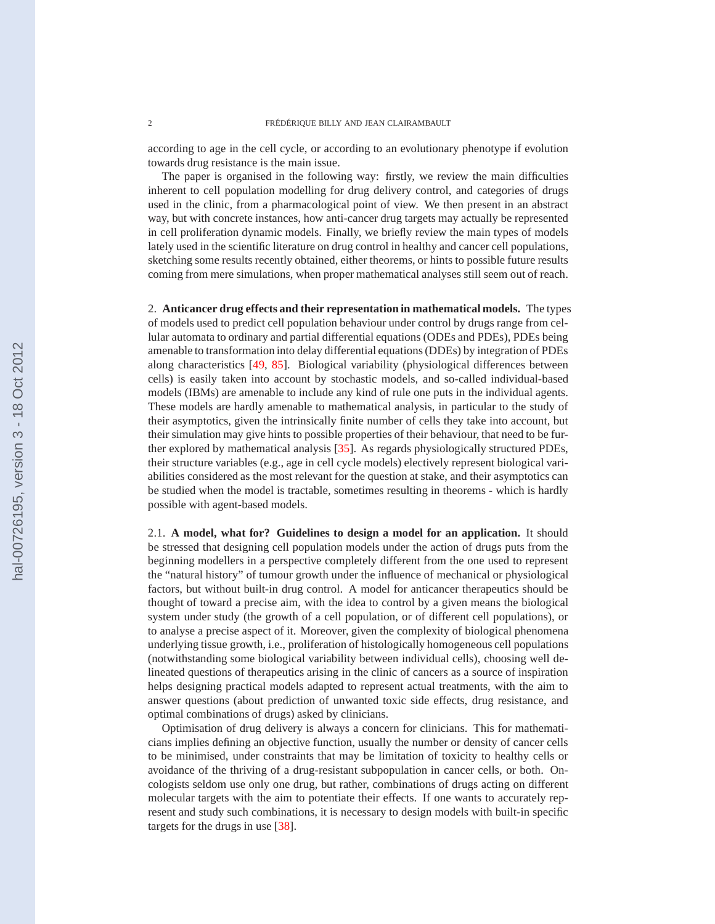according to age in the cell cycle, or according to an evolutionary phenotype if evolution towards drug resistance is the main issue.

The paper is organised in the following way: firstly, we review the main difficulties inherent to cell population modelling for drug delivery control, and categories of drugs used in the clinic, from a pharmacological point of view. We then present in an abstract way, but with concrete instances, how anti-cancer drug targets may actually be represented in cell proliferation dynamic models. Finally, we briefly review the main types of models lately used in the scientific literature on drug control in healthy and cancer cell populations, sketching some results recently obtained, either theorems, or hints to possible future results coming from mere simulations, when proper mathematical analyses still seem out of reach.

2. **Anticancer drug effects and their representation in mathematical models.** The types of models used to predict cell population behaviour under control by drugs range from cellular automata to ordinary and partial differential equations (ODEs and PDEs), PDEs being amenable to transformation into delay differential equations (DDEs) by integration of PDEs along characteristics [\[49,](#page-20-0) [85\]](#page-22-0). Biological variability (physiological differences between cells) is easily taken into account by stochastic models, and so-called individual-based models (IBMs) are amenable to include any kind of rule one puts in the individual agents. These models are hardly amenable to mathematical analysis, in particular to the study of their asymptotics, given the intrinsically finite number of cells they take into account, but their simulation may give hints to possible properties of their behaviour, that need to be further explored by mathematical analysis [\[35\]](#page-20-0). As regards physiologically structured PDEs, their structure variables (e.g., age in cell cycle models) electively represent biological variabilities considered as the most relevant for the question at stake, and their asymptotics can be studied when the model is tractable, sometimes resulting in theorems - which is hardly possible with agent-based models.

2.1. **A model, what for? Guidelines to design a model for an application.** It should be stressed that designing cell population models under the action of drugs puts from the beginning modellers in a perspective completely different from the one used to represent the "natural history" of tumour growth under the influence of mechanical or physiological factors, but without built-in drug control. A model for anticancer therapeutics should be thought of toward a precise aim, with the idea to control by a given means the biological system under study (the growth of a cell population, or of different cell populations), or to analyse a precise aspect of it. Moreover, given the complexity of biological phenomena underlying tissue growth, i.e., proliferation of histologically homogeneous cell populations (notwithstanding some biological variability between individual cells), choosing well delineated questions of therapeutics arising in the clinic of cancers as a source of inspiration helps designing practical models adapted to represent actual treatments, with the aim to answer questions (about prediction of unwanted toxic side effects, drug resistance, and optimal combinations of drugs) asked by clinicians.

Optimisation of drug delivery is always a concern for clinicians. This for mathematicians implies defining an objective function, usually the number or density of cancer cells to be minimised, under constraints that may be limitation of toxicity to healthy cells or avoidance of the thriving of a drug-resistant subpopulation in cancer cells, or both. Oncologists seldom use only one drug, but rather, combinations of drugs acting on different molecular targets with the aim to potentiate their effects. If one wants to accurately represent and study such combinations, it is necessary to design models with built-in specific targets for the drugs in use [\[38\]](#page-20-0).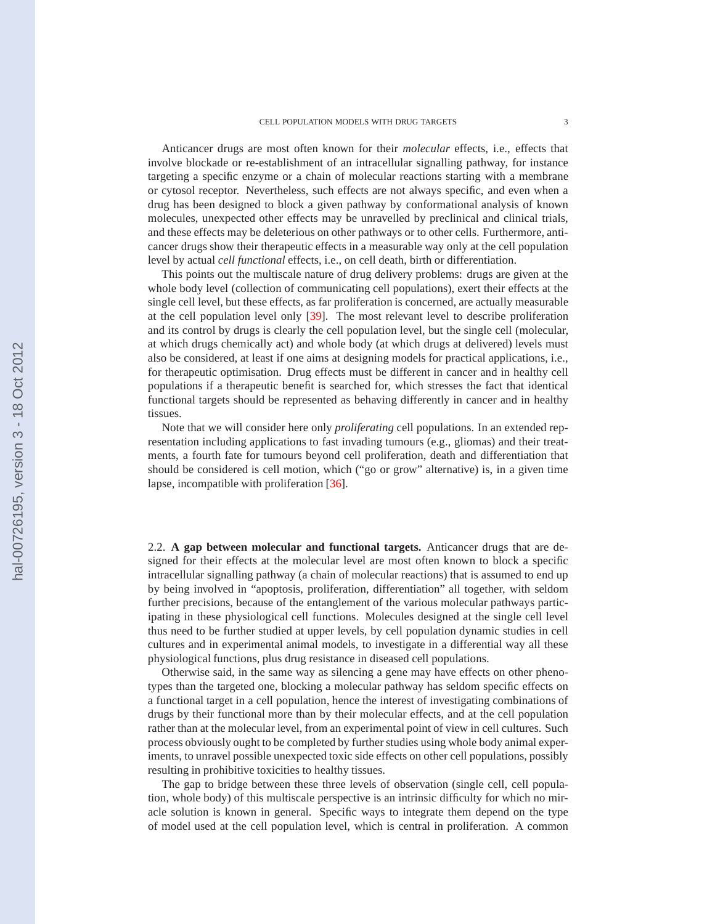Anticancer drugs are most often known for their *molecular* effects, i.e., effects that involve blockade or re-establishment of an intracellular signalling pathway, for instance targeting a specific enzyme or a chain of molecular reactions starting with a membrane or cytosol receptor. Nevertheless, such effects are not always specific, and even when a drug has been designed to block a given pathway by conformational analysis of known molecules, unexpected other effects may be unravelled by preclinical and clinical trials, and these effects may be deleterious on other pathways or to other cells. Furthermore, anticancer drugs show their therapeutic effects in a measurable way only at the cell population level by actual *cell functional* effects, i.e., on cell death, birth or differentiation.

This points out the multiscale nature of drug delivery problems: drugs are given at the whole body level (collection of communicating cell populations), exert their effects at the single cell level, but these effects, as far proliferation is concerned, are actually measurable at the cell population level only [\[39\]](#page-20-0). The most relevant level to describe proliferation and its control by drugs is clearly the cell population level, but the single cell (molecular, at which drugs chemically act) and whole body (at which drugs at delivered) levels must also be considered, at least if one aims at designing models for practical applications, i.e., for therapeutic optimisation. Drug effects must be different in cancer and in healthy cell populations if a therapeutic benefit is searched for, which stresses the fact that identical functional targets should be represented as behaving differently in cancer and in healthy tissues.

Note that we will consider here only *proliferating* cell populations. In an extended representation including applications to fast invading tumours (e.g., gliomas) and their treatments, a fourth fate for tumours beyond cell proliferation, death and differentiation that should be considered is cell motion, which ("go or grow" alternative) is, in a given time lapse, incompatible with proliferation [\[36\]](#page-20-0).

2.2. **A gap between molecular and functional targets.** Anticancer drugs that are designed for their effects at the molecular level are most often known to block a specific intracellular signalling pathway (a chain of molecular reactions) that is assumed to end up by being involved in "apoptosis, proliferation, differentiation" all together, with seldom further precisions, because of the entanglement of the various molecular pathways participating in these physiological cell functions. Molecules designed at the single cell level thus need to be further studied at upper levels, by cell population dynamic studies in cell cultures and in experimental animal models, to investigate in a differential way all these physiological functions, plus drug resistance in diseased cell populations.

Otherwise said, in the same way as silencing a gene may have effects on other phenotypes than the targeted one, blocking a molecular pathway has seldom specific effects on a functional target in a cell population, hence the interest of investigating combinations of drugs by their functional more than by their molecular effects, and at the cell population rather than at the molecular level, from an experimental point of view in cell cultures. Such process obviously ought to be completed by further studies using whole body animal experiments, to unravel possible unexpected toxic side effects on other cell populations, possibly resulting in prohibitive toxicities to healthy tissues.

The gap to bridge between these three levels of observation (single cell, cell population, whole body) of this multiscale perspective is an intrinsic difficulty for which no miracle solution is known in general. Specific ways to integrate them depend on the type of model used at the cell population level, which is central in proliferation. A common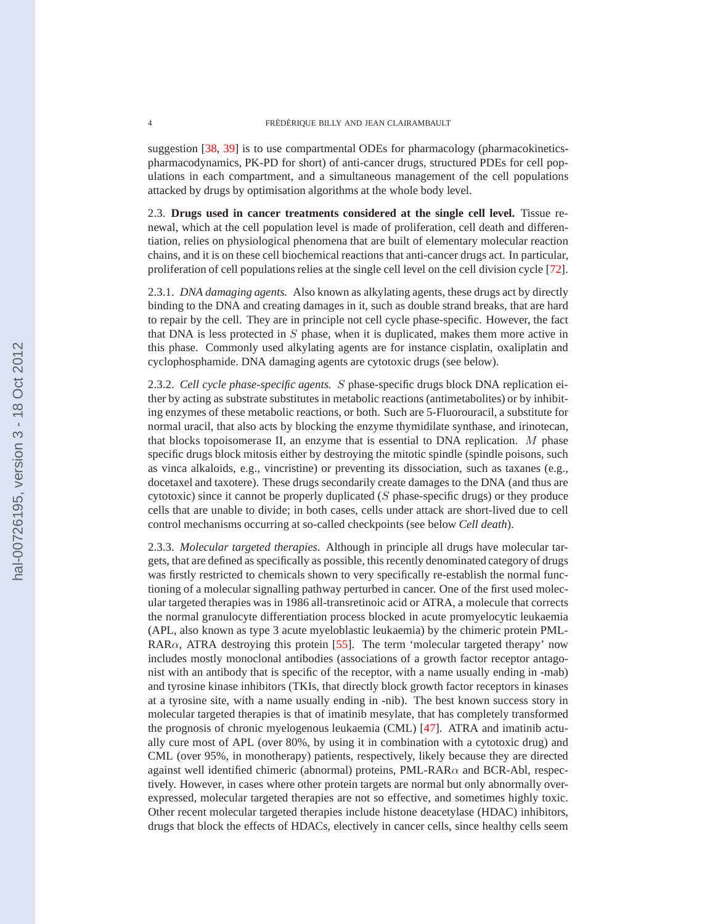suggestion [\[38,](#page-20-0) [39\]](#page-20-0) is to use compartmental ODEs for pharmacology (pharmacokineticspharmacodynamics, PK-PD for short) of anti-cancer drugs, structured PDEs for cell populations in each compartment, and a simultaneous management of the cell populations attacked by drugs by optimisation algorithms at the whole body level.

2.3. **Drugs used in cancer treatments considered at the single cell level.** Tissue renewal, which at the cell population level is made of proliferation, cell death and differentiation, relies on physiological phenomena that are built of elementary molecular reaction chains, and it is on these cell biochemical reactions that anti-cancer drugs act. In particular, proliferation of cell populations relies at the single cell level on the cell division cycle [\[72\]](#page-21-0).

2.3.1. *DNA damaging agents.* Also known as alkylating agents, these drugs act by directly binding to the DNA and creating damages in it, such as double strand breaks, that are hard to repair by the cell. They are in principle not cell cycle phase-specific. However, the fact that DNA is less protected in  $S$  phase, when it is duplicated, makes them more active in this phase. Commonly used alkylating agents are for instance cisplatin, oxaliplatin and cyclophosphamide. DNA damaging agents are cytotoxic drugs (see below).

2.3.2. *Cell cycle phase-specific agents.* S phase-specific drugs block DNA replication either by acting as substrate substitutes in metabolic reactions (antimetabolites) or by inhibiting enzymes of these metabolic reactions, or both. Such are 5-Fluorouracil, a substitute for normal uracil, that also acts by blocking the enzyme thymidilate synthase, and irinotecan, that blocks topoisomerase II, an enzyme that is essential to DNA replication.  $M$  phase specific drugs block mitosis either by destroying the mitotic spindle (spindle poisons, such as vinca alkaloids, e.g., vincristine) or preventing its dissociation, such as taxanes (e.g., docetaxel and taxotere). These drugs secondarily create damages to the DNA (and thus are cytotoxic) since it cannot be properly duplicated  $(S$  phase-specific drugs) or they produce cells that are unable to divide; in both cases, cells under attack are short-lived due to cell control mechanisms occurring at so-called checkpoints (see below *Cell death*).

2.3.3. *Molecular targeted therapies.* Although in principle all drugs have molecular targets, that are defined as specifically as possible, this recently denominated category of drugs was firstly restricted to chemicals shown to very specifically re-establish the normal functioning of a molecular signalling pathway perturbed in cancer. One of the first used molecular targeted therapies was in 1986 all-transretinoic acid or ATRA, a molecule that corrects the normal granulocyte differentiation process blocked in acute promyelocytic leukaemia (APL, also known as type 3 acute myeloblastic leukaemia) by the chimeric protein PML-RAR $\alpha$ , ATRA destroying this protein [\[55\]](#page-21-0). The term 'molecular targeted therapy' now includes mostly monoclonal antibodies (associations of a growth factor receptor antagonist with an antibody that is specific of the receptor, with a name usually ending in -mab) and tyrosine kinase inhibitors (TKIs, that directly block growth factor receptors in kinases at a tyrosine site, with a name usually ending in -nib). The best known success story in molecular targeted therapies is that of imatinib mesylate, that has completely transformed the prognosis of chronic myelogenous leukaemia (CML) [\[47\]](#page-20-0). ATRA and imatinib actually cure most of APL (over 80%, by using it in combination with a cytotoxic drug) and CML (over 95%, in monotherapy) patients, respectively, likely because they are directed against well identified chimeric (abnormal) proteins,  $PML-RAR\alpha$  and BCR-Abl, respectively. However, in cases where other protein targets are normal but only abnormally overexpressed, molecular targeted therapies are not so effective, and sometimes highly toxic. Other recent molecular targeted therapies include histone deacetylase (HDAC) inhibitors, drugs that block the effects of HDACs, electively in cancer cells, since healthy cells seem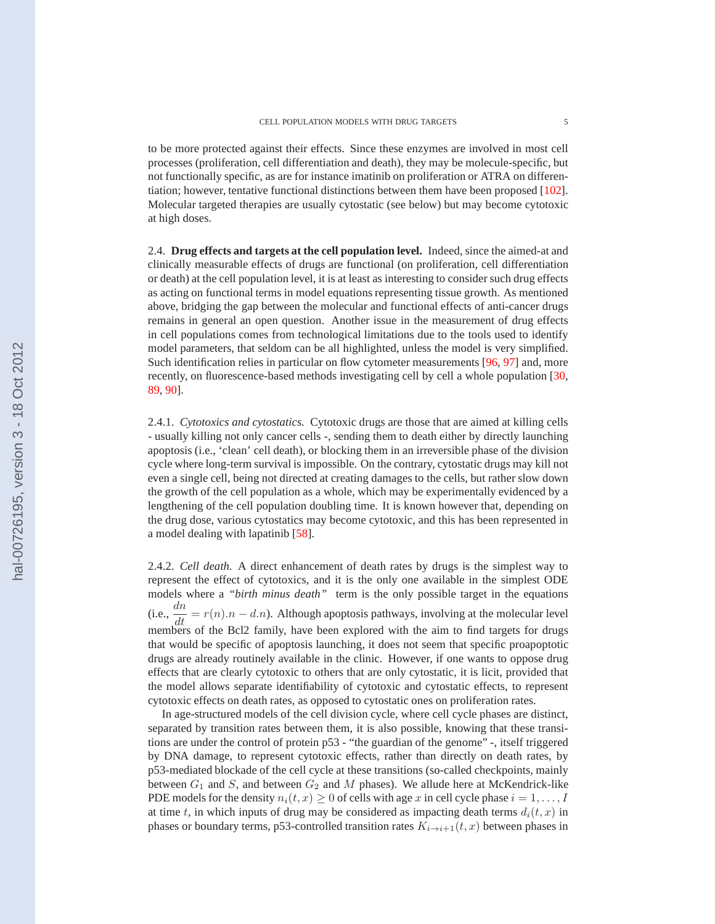to be more protected against their effects. Since these enzymes are involved in most cell processes (proliferation, cell differentiation and death), they may be molecule-specific, but not functionally specific, as are for instance imatinib on proliferation or ATRA on differentiation; however, tentative functional distinctions between them have been proposed [\[102\]](#page-22-0). Molecular targeted therapies are usually cytostatic (see below) but may become cytotoxic at high doses.

2.4. **Drug effects and targets at the cell population level.** Indeed, since the aimed-at and clinically measurable effects of drugs are functional (on proliferation, cell differentiation or death) at the cell population level, it is at least as interesting to consider such drug effects as acting on functional terms in model equations representing tissue growth. As mentioned above, bridging the gap between the molecular and functional effects of anti-cancer drugs remains in general an open question. Another issue in the measurement of drug effects in cell populations comes from technological limitations due to the tools used to identify model parameters, that seldom can be all highlighted, unless the model is very simplified. Such identification relies in particular on flow cytometer measurements [\[96,](#page-22-0) [97\]](#page-22-0) and, more recently, on fluorescence-based methods investigating cell by cell a whole population [\[30,](#page-20-0) [89,](#page-22-0) [90\]](#page-22-0).

2.4.1. *Cytotoxics and cytostatics.* Cytotoxic drugs are those that are aimed at killing cells - usually killing not only cancer cells -, sending them to death either by directly launching apoptosis (i.e., 'clean' cell death), or blocking them in an irreversible phase of the division cycle where long-term survival is impossible. On the contrary, cytostatic drugs may kill not even a single cell, being not directed at creating damages to the cells, but rather slow down the growth of the cell population as a whole, which may be experimentally evidenced by a lengthening of the cell population doubling time. It is known however that, depending on the drug dose, various cytostatics may become cytotoxic, and this has been represented in a model dealing with lapatinib [\[58\]](#page-21-0).

2.4.2. *Cell death.* A direct enhancement of death rates by drugs is the simplest way to represent the effect of cytotoxics, and it is the only one available in the simplest ODE models where a *"birth minus death"* term is the only possible target in the equations (i.e.,  $\frac{dn}{dt} = r(n) \cdot n - d \cdot n$ ). Although apoptosis pathways, involving at the molecular level members of the Bcl2 family, have been explored with the aim to find targets for drugs that would be specific of apoptosis launching, it does not seem that specific proapoptotic drugs are already routinely available in the clinic. However, if one wants to oppose drug effects that are clearly cytotoxic to others that are only cytostatic, it is licit, provided that the model allows separate identifiability of cytotoxic and cytostatic effects, to represent cytotoxic effects on death rates, as opposed to cytostatic ones on proliferation rates.

In age-structured models of the cell division cycle, where cell cycle phases are distinct, separated by transition rates between them, it is also possible, knowing that these transitions are under the control of protein p53 - "the guardian of the genome" -, itself triggered by DNA damage, to represent cytotoxic effects, rather than directly on death rates, by p53-mediated blockade of the cell cycle at these transitions (so-called checkpoints, mainly between  $G_1$  and  $S$ , and between  $G_2$  and  $M$  phases). We allude here at McKendrick-like PDE models for the density  $n_i(t, x) \geq 0$  of cells with age x in cell cycle phase  $i = 1, \ldots, I$ at time t, in which inputs of drug may be considered as impacting death terms  $d_i(t, x)$  in phases or boundary terms, p53-controlled transition rates  $K_{i\to i+1}(t, x)$  between phases in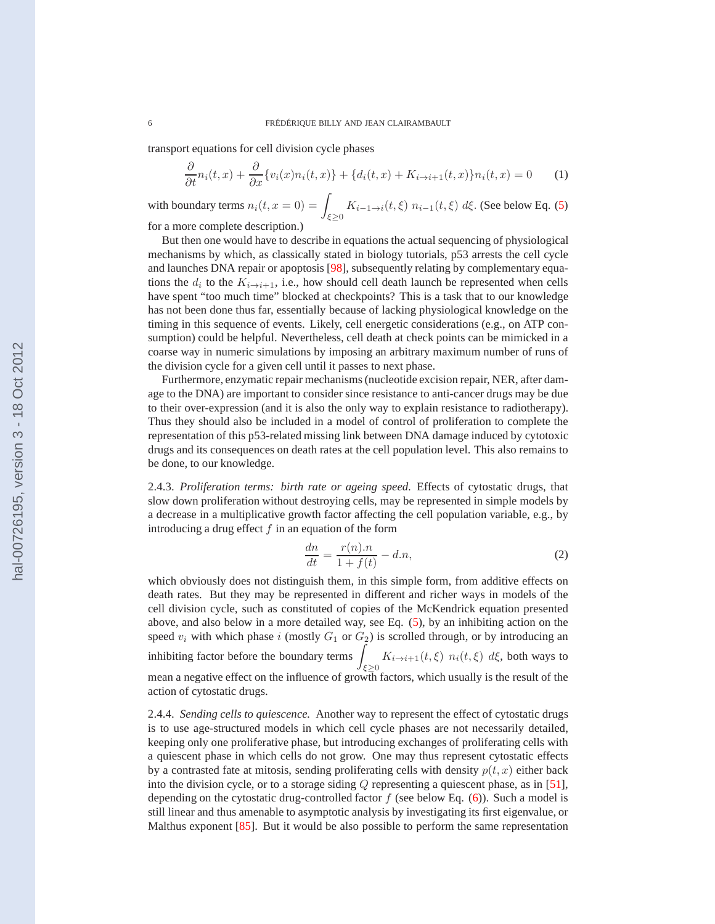transport equations for cell division cycle phases

$$
\frac{\partial}{\partial t}n_i(t,x) + \frac{\partial}{\partial x}\{v_i(x)n_i(t,x)\} + \{d_i(t,x) + K_{i \to i+1}(t,x)\}n_i(t,x) = 0 \tag{1}
$$

with boundary terms  $n_i(t, x = 0) = \int_{\xi \ge 0} K_{i-1 \to i}(t, \xi) n_{i-1}(t, \xi) d\xi$ . (See below Eq. [\(5\)](#page-9-0)

for a more complete description.)

But then one would have to describe in equations the actual sequencing of physiological mechanisms by which, as classically stated in biology tutorials, p53 arrests the cell cycle and launches DNA repair or apoptosis [\[98\]](#page-22-0), subsequently relating by complementary equations the  $d_i$  to the  $K_{i\rightarrow i+1}$ , i.e., how should cell death launch be represented when cells have spent "too much time" blocked at checkpoints? This is a task that to our knowledge has not been done thus far, essentially because of lacking physiological knowledge on the timing in this sequence of events. Likely, cell energetic considerations (e.g., on ATP consumption) could be helpful. Nevertheless, cell death at check points can be mimicked in a coarse way in numeric simulations by imposing an arbitrary maximum number of runs of the division cycle for a given cell until it passes to next phase.

Furthermore, enzymatic repair mechanisms (nucleotide excision repair, NER, after damage to the DNA) are important to consider since resistance to anti-cancer drugs may be due to their over-expression (and it is also the only way to explain resistance to radiotherapy). Thus they should also be included in a model of control of proliferation to complete the representation of this p53-related missing link between DNA damage induced by cytotoxic drugs and its consequences on death rates at the cell population level. This also remains to be done, to our knowledge.

2.4.3. *Proliferation terms: birth rate or ageing speed.* Effects of cytostatic drugs, that slow down proliferation without destroying cells, may be represented in simple models by a decrease in a multiplicative growth factor affecting the cell population variable, e.g., by introducing a drug effect  $f$  in an equation of the form

$$
\frac{dn}{dt} = \frac{r(n).n}{1 + f(t)} - d.n,\tag{2}
$$

which obviously does not distinguish them, in this simple form, from additive effects on death rates. But they may be represented in different and richer ways in models of the cell division cycle, such as constituted of copies of the McKendrick equation presented above, and also below in a more detailed way, see Eq. [\(5\)](#page-9-0), by an inhibiting action on the speed  $v_i$  with which phase i (mostly  $G_1$  or  $G_2$ ) is scrolled through, or by introducing an inhibiting factor before the boundary terms  $\int$  $K_{i\to i+1}(t,\xi)$   $n_i(t,\xi)$  d $\xi$ , both ways to mean a negative effect on the influence of growth factors, which usually is the result of the action of cytostatic drugs.

2.4.4. *Sending cells to quiescence.* Another way to represent the effect of cytostatic drugs is to use age-structured models in which cell cycle phases are not necessarily detailed, keeping only one proliferative phase, but introducing exchanges of proliferating cells with a quiescent phase in which cells do not grow. One may thus represent cytostatic effects by a contrasted fate at mitosis, sending proliferating cells with density  $p(t, x)$  either back into the division cycle, or to a storage siding Q representing a quiescent phase, as in [\[51\]](#page-21-0), depending on the cytostatic drug-controlled factor  $f$  (see below Eq. [\(6\)](#page-11-0)). Such a model is still linear and thus amenable to asymptotic analysis by investigating its first eigenvalue, or Malthus exponent [\[85\]](#page-22-0). But it would be also possible to perform the same representation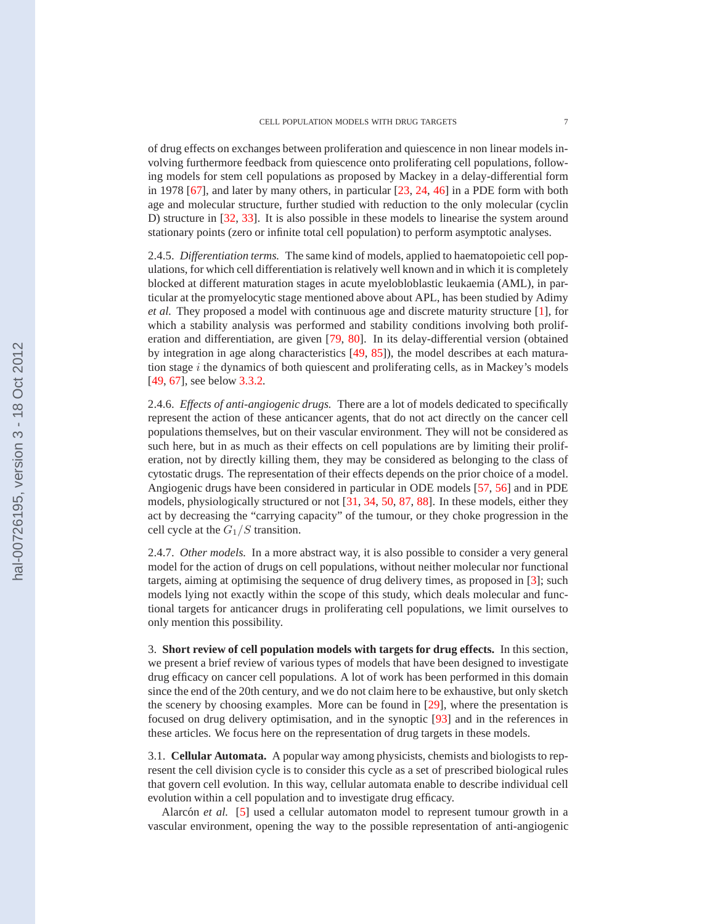of drug effects on exchanges between proliferation and quiescence in non linear models involving furthermore feedback from quiescence onto proliferating cell populations, following models for stem cell populations as proposed by Mackey in a delay-differential form in 1978 [\[67\]](#page-21-0), and later by many others, in particular [\[23,](#page-19-0) [24,](#page-19-0) [46\]](#page-20-0) in a PDE form with both age and molecular structure, further studied with reduction to the only molecular (cyclin D) structure in [\[32,](#page-20-0) [33\]](#page-20-0). It is also possible in these models to linearise the system around stationary points (zero or infinite total cell population) to perform asymptotic analyses.

2.4.5. *Differentiation terms.* The same kind of models, applied to haematopoietic cell populations, for which cell differentiation is relatively well known and in which it is completely blocked at different maturation stages in acute myelobloblastic leukaemia (AML), in particular at the promyelocytic stage mentioned above about APL, has been studied by Adimy *et al.* They proposed a model with continuous age and discrete maturity structure [\[1\]](#page-19-0), for which a stability analysis was performed and stability conditions involving both proliferation and differentiation, are given [\[79,](#page-22-0) [80\]](#page-22-0). In its delay-differential version (obtained by integration in age along characteristics [\[49,](#page-20-0) [85\]](#page-22-0)), the model describes at each maturation stage  $i$  the dynamics of both quiescent and proliferating cells, as in Mackey's models [\[49,](#page-20-0) [67\]](#page-21-0), see below [3.3.2.](#page-11-0)

2.4.6. *Effects of anti-angiogenic drugs.* There are a lot of models dedicated to specifically represent the action of these anticancer agents, that do not act directly on the cancer cell populations themselves, but on their vascular environment. They will not be considered as such here, but in as much as their effects on cell populations are by limiting their proliferation, not by directly killing them, they may be considered as belonging to the class of cytostatic drugs. The representation of their effects depends on the prior choice of a model. Angiogenic drugs have been considered in particular in ODE models [\[57,](#page-21-0) [56\]](#page-21-0) and in PDE models, physiologically structured or not [\[31,](#page-20-0) [34,](#page-20-0) [50,](#page-21-0) [87,](#page-22-0) [88\]](#page-22-0). In these models, either they act by decreasing the "carrying capacity" of the tumour, or they choke progression in the cell cycle at the  $G_1/S$  transition.

2.4.7. *Other models.* In a more abstract way, it is also possible to consider a very general model for the action of drugs on cell populations, without neither molecular nor functional targets, aiming at optimising the sequence of drug delivery times, as proposed in [\[3\]](#page-19-0); such models lying not exactly within the scope of this study, which deals molecular and functional targets for anticancer drugs in proliferating cell populations, we limit ourselves to only mention this possibility.

3. **Short review of cell population models with targets for drug effects.** In this section, we present a brief review of various types of models that have been designed to investigate drug efficacy on cancer cell populations. A lot of work has been performed in this domain since the end of the 20th century, and we do not claim here to be exhaustive, but only sketch the scenery by choosing examples. More can be found in [\[29\]](#page-20-0), where the presentation is focused on drug delivery optimisation, and in the synoptic [\[93\]](#page-22-0) and in the references in these articles. We focus here on the representation of drug targets in these models.

3.1. **Cellular Automata.** A popular way among physicists, chemists and biologists to represent the cell division cycle is to consider this cycle as a set of prescribed biological rules that govern cell evolution. In this way, cellular automata enable to describe individual cell evolution within a cell population and to investigate drug efficacy.

Alarcón et al. [\[5\]](#page-19-0) used a cellular automaton model to represent tumour growth in a vascular environment, opening the way to the possible representation of anti-angiogenic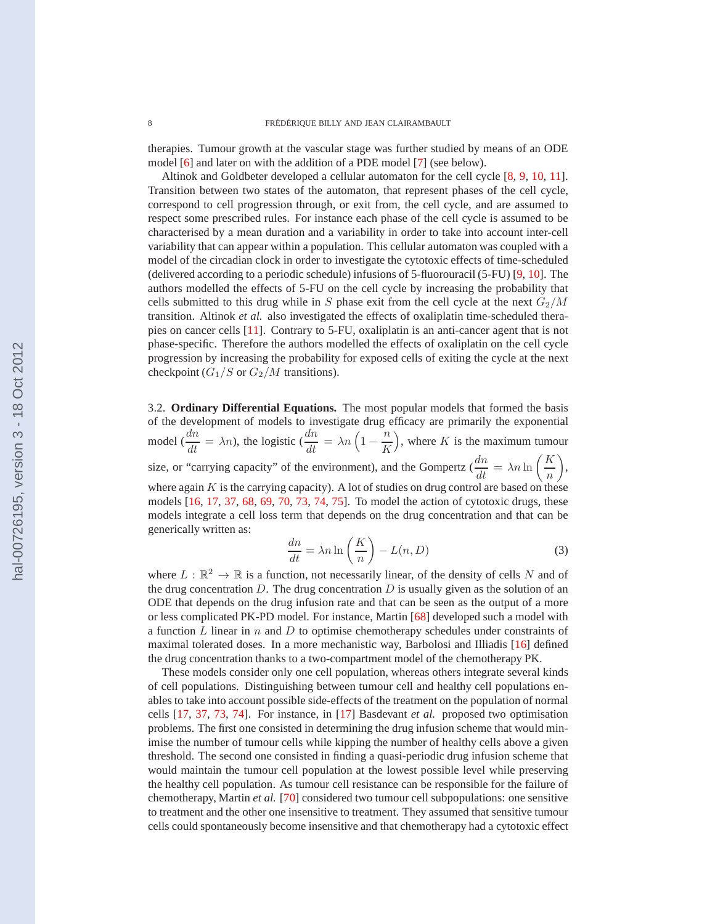<span id="page-7-0"></span>therapies. Tumour growth at the vascular stage was further studied by means of an ODE model [\[6\]](#page-19-0) and later on with the addition of a PDE model [\[7\]](#page-19-0) (see below).

Altinok and Goldbeter developed a cellular automaton for the cell cycle [\[8,](#page-19-0) [9,](#page-19-0) [10,](#page-19-0) [11\]](#page-19-0). Transition between two states of the automaton, that represent phases of the cell cycle, correspond to cell progression through, or exit from, the cell cycle, and are assumed to respect some prescribed rules. For instance each phase of the cell cycle is assumed to be characterised by a mean duration and a variability in order to take into account inter-cell variability that can appear within a population. This cellular automaton was coupled with a model of the circadian clock in order to investigate the cytotoxic effects of time-scheduled (delivered according to a periodic schedule) infusions of 5-fluorouracil (5-FU) [\[9,](#page-19-0) [10\]](#page-19-0). The authors modelled the effects of 5-FU on the cell cycle by increasing the probability that cells submitted to this drug while in S phase exit from the cell cycle at the next  $G_2/M$ transition. Altinok *et al.* also investigated the effects of oxaliplatin time-scheduled therapies on cancer cells [\[11\]](#page-19-0). Contrary to 5-FU, oxaliplatin is an anti-cancer agent that is not phase-specific. Therefore the authors modelled the effects of oxaliplatin on the cell cycle progression by increasing the probability for exposed cells of exiting the cycle at the next checkpoint  $(G_1/S \text{ or } G_2/M \text{ transitions}).$ 

3.2. **Ordinary Differential Equations.** The most popular models that formed the basis of the development of models to investigate drug efficacy are primarily the exponential model ( $\frac{dn}{dt} = \lambda n$ ), the logistic ( $\frac{dn}{dt} = \lambda n \left(1 - \frac{n}{K}\right)$ K ), where  $K$  is the maximum tumour size, or "carrying capacity" of the environment), and the Gompertz ( $\frac{dn}{dt} = \lambda n \ln \left( \frac{K}{n} \right)$ n  $\bigg),$ where again  $K$  is the carrying capacity). A lot of studies on drug control are based on these models [\[16,](#page-19-0) [17,](#page-19-0) [37,](#page-20-0) [68,](#page-21-0) [69,](#page-21-0) [70,](#page-21-0) [73,](#page-21-0) [74,](#page-21-0) [75\]](#page-21-0). To model the action of cytotoxic drugs, these models integrate a cell loss term that depends on the drug concentration and that can be generically written as:

$$
\frac{dn}{dt} = \lambda n \ln\left(\frac{K}{n}\right) - L(n, D) \tag{3}
$$

where  $L : \mathbb{R}^2 \to \mathbb{R}$  is a function, not necessarily linear, of the density of cells N and of the drug concentration  $D$ . The drug concentration  $D$  is usually given as the solution of an ODE that depends on the drug infusion rate and that can be seen as the output of a more or less complicated PK-PD model. For instance, Martin [\[68\]](#page-21-0) developed such a model with a function L linear in n and D to optimise chemotherapy schedules under constraints of maximal tolerated doses. In a more mechanistic way, Barbolosi and Illiadis [\[16\]](#page-19-0) defined the drug concentration thanks to a two-compartment model of the chemotherapy PK.

These models consider only one cell population, whereas others integrate several kinds of cell populations. Distinguishing between tumour cell and healthy cell populations enables to take into account possible side-effects of the treatment on the population of normal cells [\[17,](#page-19-0) [37,](#page-20-0) [73,](#page-21-0) [74\]](#page-21-0). For instance, in [\[17\]](#page-19-0) Basdevant *et al.* proposed two optimisation problems. The first one consisted in determining the drug infusion scheme that would minimise the number of tumour cells while kipping the number of healthy cells above a given threshold. The second one consisted in finding a quasi-periodic drug infusion scheme that would maintain the tumour cell population at the lowest possible level while preserving the healthy cell population. As tumour cell resistance can be responsible for the failure of chemotherapy, Martin *et al.* [\[70\]](#page-21-0) considered two tumour cell subpopulations: one sensitive to treatment and the other one insensitive to treatment. They assumed that sensitive tumour cells could spontaneously become insensitive and that chemotherapy had a cytotoxic effect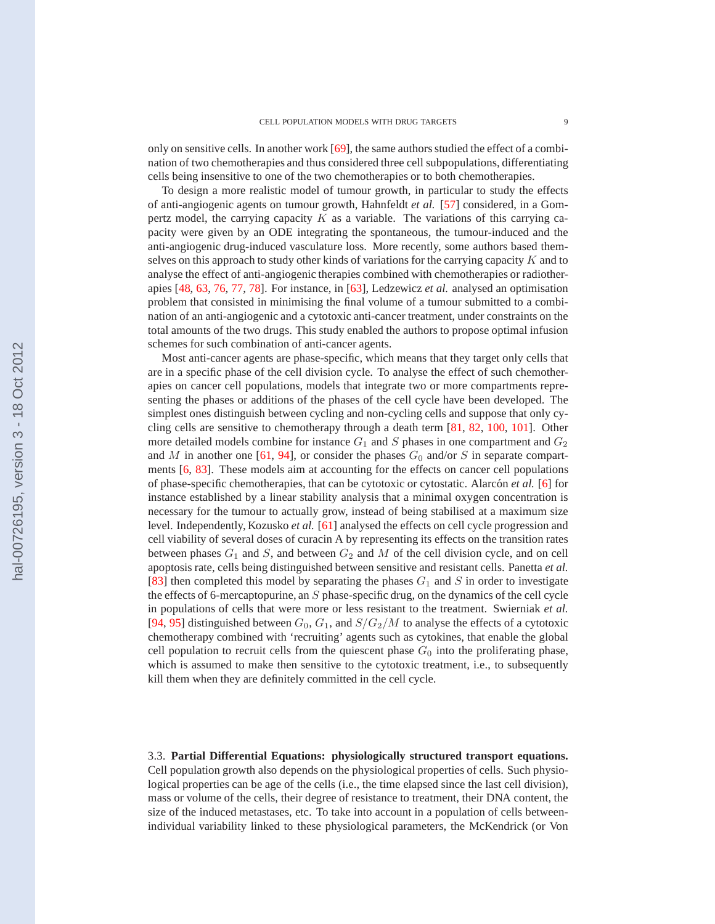only on sensitive cells. In another work [\[69\]](#page-21-0), the same authors studied the effect of a combination of two chemotherapies and thus considered three cell subpopulations, differentiating cells being insensitive to one of the two chemotherapies or to both chemotherapies.

To design a more realistic model of tumour growth, in particular to study the effects of anti-angiogenic agents on tumour growth, Hahnfeldt *et al.* [\[57\]](#page-21-0) considered, in a Gompertz model, the carrying capacity  $K$  as a variable. The variations of this carrying capacity were given by an ODE integrating the spontaneous, the tumour-induced and the anti-angiogenic drug-induced vasculature loss. More recently, some authors based themselves on this approach to study other kinds of variations for the carrying capacity  $K$  and to analyse the effect of anti-angiogenic therapies combined with chemotherapies or radiotherapies [\[48,](#page-20-0) [63,](#page-21-0) [76,](#page-21-0) [77,](#page-22-0) [78\]](#page-22-0). For instance, in [\[63\]](#page-21-0), Ledzewicz *et al.* analysed an optimisation problem that consisted in minimising the final volume of a tumour submitted to a combination of an anti-angiogenic and a cytotoxic anti-cancer treatment, under constraints on the total amounts of the two drugs. This study enabled the authors to propose optimal infusion schemes for such combination of anti-cancer agents.

Most anti-cancer agents are phase-specific, which means that they target only cells that are in a specific phase of the cell division cycle. To analyse the effect of such chemotherapies on cancer cell populations, models that integrate two or more compartments representing the phases or additions of the phases of the cell cycle have been developed. The simplest ones distinguish between cycling and non-cycling cells and suppose that only cycling cells are sensitive to chemotherapy through a death term [\[81,](#page-22-0) [82,](#page-22-0) [100,](#page-22-0) [101\]](#page-22-0). Other more detailed models combine for instance  $G_1$  and  $S$  phases in one compartment and  $G_2$ and M in another one [\[61,](#page-21-0) [94\]](#page-22-0), or consider the phases  $G_0$  and/or S in separate compartments [\[6,](#page-19-0) [83\]](#page-22-0). These models aim at accounting for the effects on cancer cell populations of phase-specific chemotherapies, that can be cytotoxic or cytostatic. Alarcón *et al.* [\[6\]](#page-19-0) for instance established by a linear stability analysis that a minimal oxygen concentration is necessary for the tumour to actually grow, instead of being stabilised at a maximum size level. Independently, Kozusko *et al.* [\[61\]](#page-21-0) analysed the effects on cell cycle progression and cell viability of several doses of curacin A by representing its effects on the transition rates between phases  $G_1$  and  $S$ , and between  $G_2$  and  $M$  of the cell division cycle, and on cell apoptosis rate, cells being distinguished between sensitive and resistant cells. Panetta *et al.* [\[83\]](#page-22-0) then completed this model by separating the phases  $G_1$  and S in order to investigate the effects of 6-mercaptopurine, an S phase-specific drug, on the dynamics of the cell cycle in populations of cells that were more or less resistant to the treatment. Swierniak *et al.* [\[94,](#page-22-0) [95\]](#page-22-0) distinguished between  $G_0$ ,  $G_1$ , and  $S/G_2/M$  to analyse the effects of a cytotoxic chemotherapy combined with 'recruiting' agents such as cytokines, that enable the global cell population to recruit cells from the quiescent phase  $G_0$  into the proliferating phase, which is assumed to make then sensitive to the cytotoxic treatment, i.e., to subsequently kill them when they are definitely committed in the cell cycle.

3.3. **Partial Differential Equations: physiologically structured transport equations.** Cell population growth also depends on the physiological properties of cells. Such physiological properties can be age of the cells (i.e., the time elapsed since the last cell division), mass or volume of the cells, their degree of resistance to treatment, their DNA content, the size of the induced metastases, etc. To take into account in a population of cells betweenindividual variability linked to these physiological parameters, the McKendrick (or Von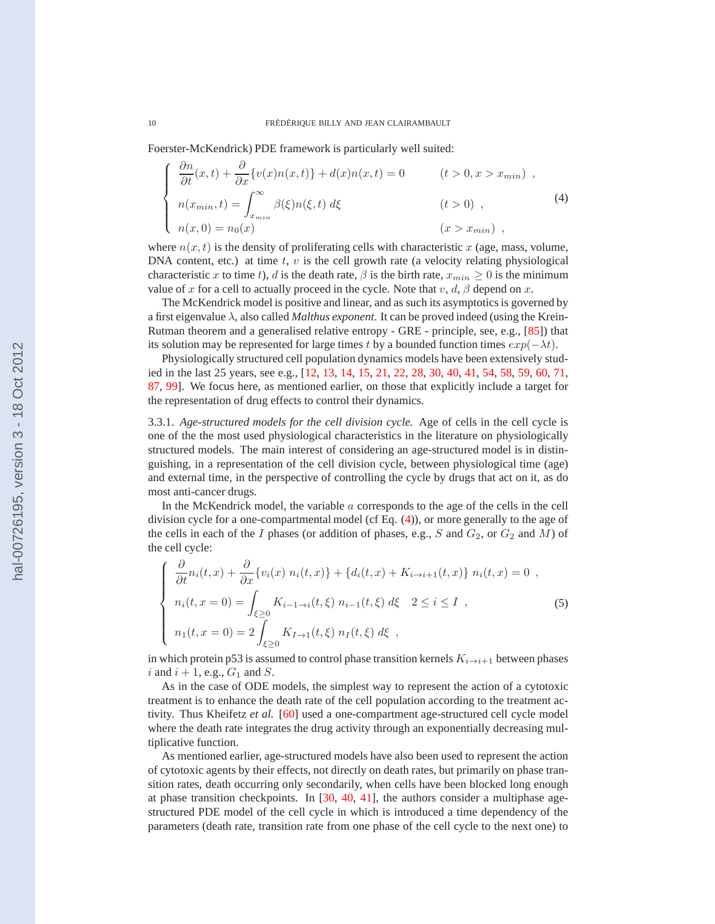<span id="page-9-0"></span>Foerster-McKendrick) PDE framework is particularly well suited:

$$
\begin{cases}\n\frac{\partial n}{\partial t}(x,t) + \frac{\partial}{\partial x}\{v(x)n(x,t)\} + d(x)n(x,t) = 0 & (t > 0, x > x_{min}) ,\\ \nn(x_{min},t) = \int_{x_{min}}^{\infty} \beta(\xi)n(\xi,t) d\xi & (t > 0) ,\\ \nn(x,0) = n_0(x) & (x > x_{min}) ,\n\end{cases}
$$
\n(4)

where  $n(x, t)$  is the density of proliferating cells with characteristic x (age, mass, volume, DNA content, etc.) at time  $t$ ,  $v$  is the cell growth rate (a velocity relating physiological characteristic x to time t), d is the death rate,  $\beta$  is the birth rate,  $x_{min} \ge 0$  is the minimum value of x for a cell to actually proceed in the cycle. Note that  $v, d, \beta$  depend on x.

The McKendrick model is positive and linear, and as such its asymptotics is governed by a first eigenvalue λ, also called *Malthus exponent*. It can be proved indeed (using the Krein-Rutman theorem and a generalised relative entropy - GRE - principle, see, e.g., [\[85\]](#page-22-0)) that its solution may be represented for large times t by a bounded function times  $exp(-\lambda t)$ .

Physiologically structured cell population dynamics models have been extensively studied in the last 25 years, see e.g., [\[12,](#page-19-0) [13,](#page-19-0) [14,](#page-19-0) [15,](#page-19-0) [21,](#page-19-0) [22,](#page-19-0) [28,](#page-20-0) [30,](#page-20-0) [40,](#page-20-0) [41,](#page-20-0) [54,](#page-21-0) [58,](#page-21-0) [59,](#page-21-0) [60,](#page-21-0) [71,](#page-21-0) [87,](#page-22-0) [99\]](#page-22-0). We focus here, as mentioned earlier, on those that explicitly include a target for the representation of drug effects to control their dynamics.

3.3.1. *Age-structured models for the cell division cycle.* Age of cells in the cell cycle is one of the the most used physiological characteristics in the literature on physiologically structured models. The main interest of considering an age-structured model is in distinguishing, in a representation of the cell division cycle, between physiological time (age) and external time, in the perspective of controlling the cycle by drugs that act on it, as do most anti-cancer drugs.

In the McKendrick model, the variable  $a$  corresponds to the age of the cells in the cell division cycle for a one-compartmental model (cf Eq. (4)), or more generally to the age of the cells in each of the I phases (or addition of phases, e.g.,  $S$  and  $G_2$ , or  $G_2$  and  $M$ ) of the cell cycle:

$$
\begin{cases}\n\frac{\partial}{\partial t}n_i(t, x) + \frac{\partial}{\partial x}\{v_i(x) n_i(t, x)\} + \{d_i(t, x) + K_{i \to i+1}(t, x)\} n_i(t, x) = 0, \\
n_i(t, x = 0) = \int_{\xi \ge 0} K_{i-1 \to i}(t, \xi) n_{i-1}(t, \xi) d\xi \quad 2 \le i \le I, \\
n_1(t, x = 0) = 2 \int_{\xi \ge 0} K_{I \to 1}(t, \xi) n_I(t, \xi) d\xi,\n\end{cases}
$$
\n(5)

in which protein p53 is assumed to control phase transition kernels  $K_{i\to i+1}$  between phases i and  $i + 1$ , e.g.,  $G_1$  and S.

As in the case of ODE models, the simplest way to represent the action of a cytotoxic treatment is to enhance the death rate of the cell population according to the treatment activity. Thus Kheifetz *et al.* [\[60\]](#page-21-0) used a one-compartment age-structured cell cycle model where the death rate integrates the drug activity through an exponentially decreasing multiplicative function.

As mentioned earlier, age-structured models have also been used to represent the action of cytotoxic agents by their effects, not directly on death rates, but primarily on phase transition rates, death occurring only secondarily, when cells have been blocked long enough at phase transition checkpoints. In [\[30,](#page-20-0) [40,](#page-20-0) [41\]](#page-20-0), the authors consider a multiphase agestructured PDE model of the cell cycle in which is introduced a time dependency of the parameters (death rate, transition rate from one phase of the cell cycle to the next one) to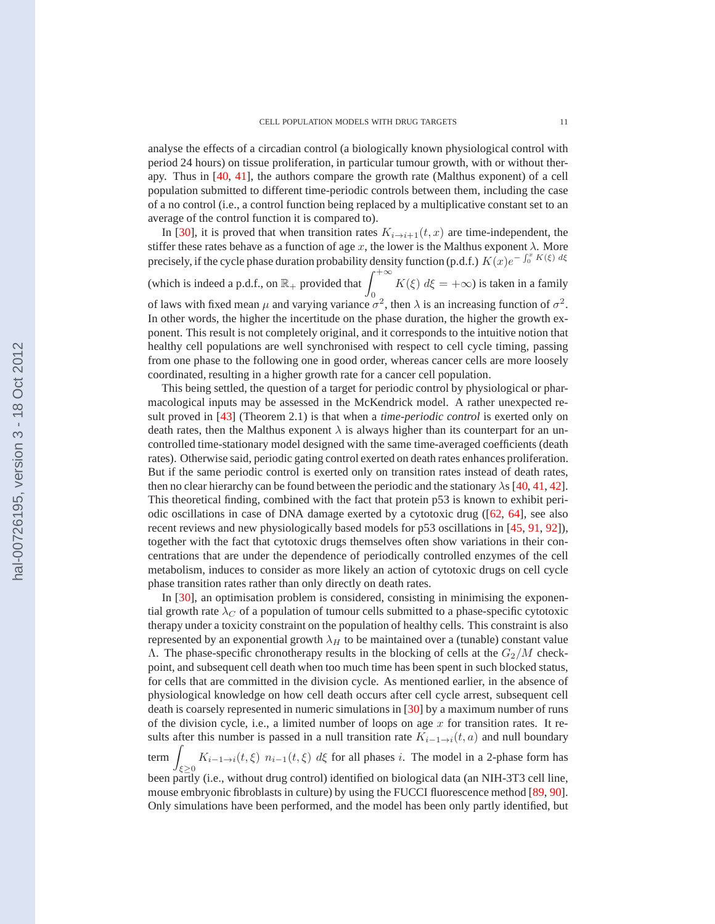analyse the effects of a circadian control (a biologically known physiological control with period 24 hours) on tissue proliferation, in particular tumour growth, with or without therapy. Thus in [\[40,](#page-20-0) [41\]](#page-20-0), the authors compare the growth rate (Malthus exponent) of a cell population submitted to different time-periodic controls between them, including the case of a no control (i.e., a control function being replaced by a multiplicative constant set to an average of the control function it is compared to).

In [\[30\]](#page-20-0), it is proved that when transition rates  $K_{i\rightarrow i+1}(t, x)$  are time-independent, the stiffer these rates behave as a function of age x, the lower is the Malthus exponent  $\lambda$ . More precisely, if the cycle phase duration probability density function (p.d.f.)  $K(x)e^{-\int_0^x K(\xi) d\xi}$ 

(which is indeed a p.d.f., on  $\mathbb{R}_+$  provided that  $\int_0^{+\infty}$  $K(\xi) d\xi = +\infty$ ) is taken in a family of laws with fixed mean  $\mu$  and varying variance  $\sigma^2$ , then  $\lambda$  is an increasing function of  $\sigma^2$ . In other words, the higher the incertitude on the phase duration, the higher the growth ex-

ponent. This result is not completely original, and it corresponds to the intuitive notion that healthy cell populations are well synchronised with respect to cell cycle timing, passing from one phase to the following one in good order, whereas cancer cells are more loosely coordinated, resulting in a higher growth rate for a cancer cell population.

This being settled, the question of a target for periodic control by physiological or pharmacological inputs may be assessed in the McKendrick model. A rather unexpected result proved in [\[43\]](#page-20-0) (Theorem 2.1) is that when a *time-periodic control* is exerted only on death rates, then the Malthus exponent  $\lambda$  is always higher than its counterpart for an uncontrolled time-stationary model designed with the same time-averaged coefficients (death rates). Otherwise said, periodic gating control exerted on death rates enhances proliferation. But if the same periodic control is exerted only on transition rates instead of death rates, then no clear hierarchy can be found between the periodic and the stationary  $\lambda s$  [\[40,](#page-20-0) [41,](#page-20-0) [42\]](#page-20-0). This theoretical finding, combined with the fact that protein p53 is known to exhibit periodic oscillations in case of DNA damage exerted by a cytotoxic drug ([\[62,](#page-21-0) [64\]](#page-21-0), see also recent reviews and new physiologically based models for p53 oscillations in [\[45,](#page-20-0) [91,](#page-22-0) [92\]](#page-22-0)), together with the fact that cytotoxic drugs themselves often show variations in their concentrations that are under the dependence of periodically controlled enzymes of the cell metabolism, induces to consider as more likely an action of cytotoxic drugs on cell cycle phase transition rates rather than only directly on death rates.

In [\[30\]](#page-20-0), an optimisation problem is considered, consisting in minimising the exponential growth rate  $\lambda_C$  of a population of tumour cells submitted to a phase-specific cytotoxic therapy under a toxicity constraint on the population of healthy cells. This constraint is also represented by an exponential growth  $\lambda_H$  to be maintained over a (tunable) constant value Λ. The phase-specific chronotherapy results in the blocking of cells at the  $G_2/M$  checkpoint, and subsequent cell death when too much time has been spent in such blocked status, for cells that are committed in the division cycle. As mentioned earlier, in the absence of physiological knowledge on how cell death occurs after cell cycle arrest, subsequent cell death is coarsely represented in numeric simulations in [\[30\]](#page-20-0) by a maximum number of runs of the division cycle, i.e., a limited number of loops on age  $x$  for transition rates. It results after this number is passed in a null transition rate  $K_{i-1\to i}(t, a)$  and null boundary  $term$  $K_{i-1\to i}(t,\xi)$   $n_{i-1}(t,\xi)$  d $\xi$  for all phases i. The model in a 2-phase form has  $\xi \ge 0$ been partly (i.e., without drug control) identified on biological data (an NIH-3T3 cell line,

mouse embryonic fibroblasts in culture) by using the FUCCI fluorescence method [\[89,](#page-22-0) [90\]](#page-22-0). Only simulations have been performed, and the model has been only partly identified, but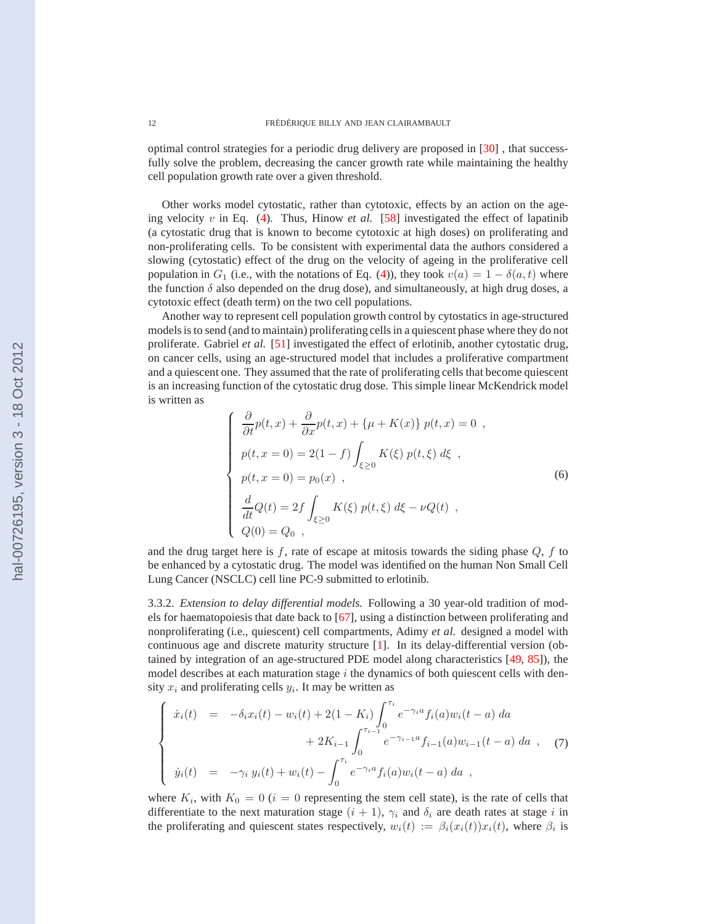<span id="page-11-0"></span>optimal control strategies for a periodic drug delivery are proposed in [\[30\]](#page-20-0) , that successfully solve the problem, decreasing the cancer growth rate while maintaining the healthy cell population growth rate over a given threshold.

Other works model cytostatic, rather than cytotoxic, effects by an action on the ageing velocity  $v$  in Eq.  $(4)$ . Thus, Hinow *et al.* [\[58\]](#page-21-0) investigated the effect of lapatinib (a cytostatic drug that is known to become cytotoxic at high doses) on proliferating and non-proliferating cells. To be consistent with experimental data the authors considered a slowing (cytostatic) effect of the drug on the velocity of ageing in the proliferative cell population in  $G_1$  (i.e., with the notations of Eq. [\(4\)](#page-9-0)), they took  $v(a) = 1 - \delta(a, t)$  where the function  $\delta$  also depended on the drug dose), and simultaneously, at high drug doses, a cytotoxic effect (death term) on the two cell populations.

Another way to represent cell population growth control by cytostatics in age-structured models is to send (and to maintain) proliferating cells in a quiescent phase where they do not proliferate. Gabriel *et al.* [\[51\]](#page-21-0) investigated the effect of erlotinib, another cytostatic drug, on cancer cells, using an age-structured model that includes a proliferative compartment and a quiescent one. They assumed that the rate of proliferating cells that become quiescent is an increasing function of the cytostatic drug dose. This simple linear McKendrick model is written as

$$
\frac{\partial}{\partial t}p(t,x) + \frac{\partial}{\partial x}p(t,x) + \{\mu + K(x)\} p(t,x) = 0 ,
$$
  
\n
$$
p(t,x=0) = 2(1-f) \int_{\xi \ge 0} K(\xi) p(t,\xi) d\xi ,
$$
  
\n
$$
p(t,x=0) = p_0(x) ,
$$
  
\n
$$
\frac{d}{dt}Q(t) = 2f \int_{\xi \ge 0} K(\xi) p(t,\xi) d\xi - \nu Q(t) ,
$$
  
\n
$$
Q(0) = Q_0 ,
$$
 (6)

and the drug target here is  $f$ , rate of escape at mitosis towards the siding phase  $Q$ ,  $f$  to be enhanced by a cytostatic drug. The model was identified on the human Non Small Cell Lung Cancer (NSCLC) cell line PC-9 submitted to erlotinib.

3.3.2. *Extension to delay differential models.* Following a 30 year-old tradition of models for haematopoiesis that date back to [\[67\]](#page-21-0), using a distinction between proliferating and nonproliferating (i.e., quiescent) cell compartments, Adimy *et al.* designed a model with continuous age and discrete maturity structure [\[1\]](#page-19-0). In its delay-differential version (obtained by integration of an age-structured PDE model along characteristics [\[49,](#page-20-0) [85\]](#page-22-0)), the model describes at each maturation stage  $i$  the dynamics of both quiescent cells with density  $x_i$  and proliferating cells  $y_i$ . It may be written as

$$
\begin{cases}\n\dot{x}_i(t) = -\delta_i x_i(t) - w_i(t) + 2(1 - K_i) \int_0^{\tau_i} e^{-\gamma_i a} f_i(a) w_i(t - a) da \\
+ 2K_{i-1} \int_0^{\tau_{i-1}} e^{-\gamma_{i-1} a} f_{i-1}(a) w_{i-1}(t - a) da ,\n\end{cases} (7)
$$
\n
$$
\dot{y}_i(t) = -\gamma_i y_i(t) + w_i(t) - \int_0^{\tau_i} e^{-\gamma_i a} f_i(a) w_i(t - a) da ,
$$

where  $K_i$ , with  $K_0 = 0$  ( $i = 0$  representing the stem cell state), is the rate of cells that differentiate to the next maturation stage  $(i + 1)$ ,  $\gamma_i$  and  $\delta_i$  are death rates at stage i in the proliferating and quiescent states respectively,  $w_i(t) := \beta_i(x_i(t))x_i(t)$ , where  $\beta_i$  is

 $\sqrt{ }$ 

 $\begin{array}{c} \hline \end{array}$ 

 $\overline{\phantom{a}}$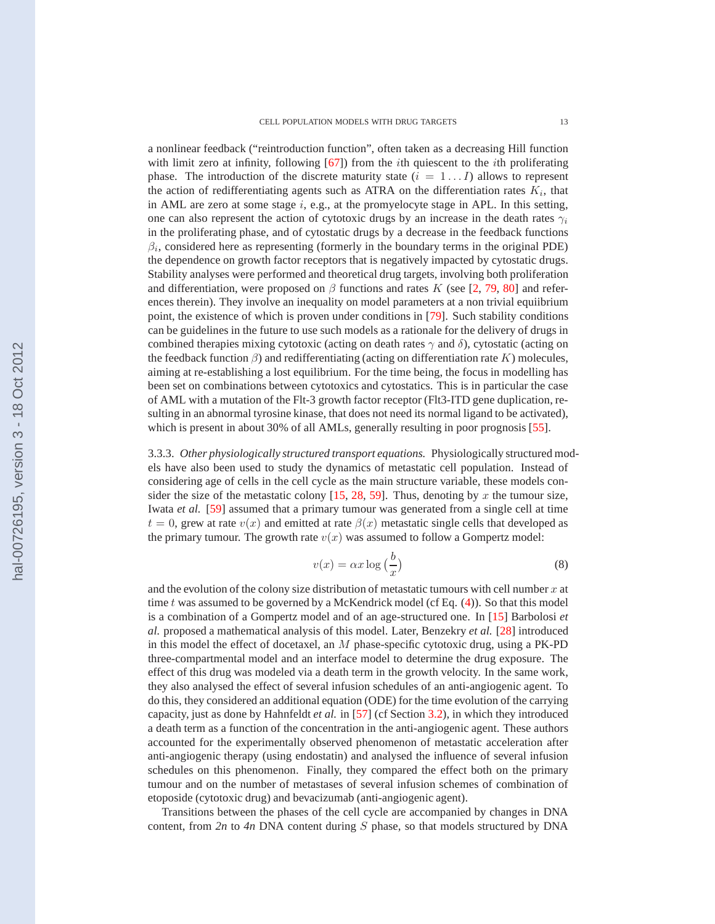a nonlinear feedback ("reintroduction function", often taken as a decreasing Hill function with limit zero at infinity, following [\[67\]](#page-21-0)) from the *i*th quiescent to the *i*th proliferating phase. The introduction of the discrete maturity state  $(i = 1...I)$  allows to represent the action of redifferentiating agents such as ATRA on the differentiation rates  $K_i$ , that in AML are zero at some stage  $i$ , e.g., at the promyelocyte stage in APL. In this setting, one can also represent the action of cytotoxic drugs by an increase in the death rates  $\gamma_i$ in the proliferating phase, and of cytostatic drugs by a decrease in the feedback functions  $\beta_i$ , considered here as representing (formerly in the boundary terms in the original PDE) the dependence on growth factor receptors that is negatively impacted by cytostatic drugs. Stability analyses were performed and theoretical drug targets, involving both proliferation and differentiation, were proposed on  $\beta$  functions and rates K (see [\[2,](#page-19-0) [79,](#page-22-0) [80\]](#page-22-0) and references therein). They involve an inequality on model parameters at a non trivial equiibrium point, the existence of which is proven under conditions in [\[79\]](#page-22-0). Such stability conditions can be guidelines in the future to use such models as a rationale for the delivery of drugs in combined therapies mixing cytotoxic (acting on death rates  $\gamma$  and  $\delta$ ), cytostatic (acting on the feedback function  $\beta$ ) and redifferentiating (acting on differentiation rate K) molecules, aiming at re-establishing a lost equilibrium. For the time being, the focus in modelling has been set on combinations between cytotoxics and cytostatics. This is in particular the case of AML with a mutation of the Flt-3 growth factor receptor (Flt3-ITD gene duplication, resulting in an abnormal tyrosine kinase, that does not need its normal ligand to be activated), which is present in about 30% of all AMLs, generally resulting in poor prognosis [\[55\]](#page-21-0).

3.3.3. *Other physiologically structured transport equations.* Physiologically structured models have also been used to study the dynamics of metastatic cell population. Instead of considering age of cells in the cell cycle as the main structure variable, these models consider the size of the metastatic colony  $[15, 28, 59]$  $[15, 28, 59]$  $[15, 28, 59]$  $[15, 28, 59]$  $[15, 28, 59]$ . Thus, denoting by x the tumour size, Iwata *et al.* [\[59\]](#page-21-0) assumed that a primary tumour was generated from a single cell at time  $t = 0$ , grew at rate  $v(x)$  and emitted at rate  $\beta(x)$  metastatic single cells that developed as the primary tumour. The growth rate  $v(x)$  was assumed to follow a Gompertz model:

$$
v(x) = \alpha x \log\left(\frac{b}{x}\right) \tag{8}
$$

and the evolution of the colony size distribution of metastatic tumours with cell number  $x$  at time  $t$  was assumed to be governed by a McKendrick model (cf Eq.  $(4)$ ). So that this model is a combination of a Gompertz model and of an age-structured one. In [\[15\]](#page-19-0) Barbolosi *et al.* proposed a mathematical analysis of this model. Later, Benzekry *et al.* [\[28\]](#page-20-0) introduced in this model the effect of docetaxel, an M phase-specific cytotoxic drug, using a PK-PD three-compartmental model and an interface model to determine the drug exposure. The effect of this drug was modeled via a death term in the growth velocity. In the same work, they also analysed the effect of several infusion schedules of an anti-angiogenic agent. To do this, they considered an additional equation (ODE) for the time evolution of the carrying capacity, just as done by Hahnfeldt *et al.* in [\[57\]](#page-21-0) (cf Section [3.2\)](#page-7-0), in which they introduced a death term as a function of the concentration in the anti-angiogenic agent. These authors accounted for the experimentally observed phenomenon of metastatic acceleration after anti-angiogenic therapy (using endostatin) and analysed the influence of several infusion schedules on this phenomenon. Finally, they compared the effect both on the primary tumour and on the number of metastases of several infusion schemes of combination of etoposide (cytotoxic drug) and bevacizumab (anti-angiogenic agent).

Transitions between the phases of the cell cycle are accompanied by changes in DNA content, from *2n* to *4n* DNA content during S phase, so that models structured by DNA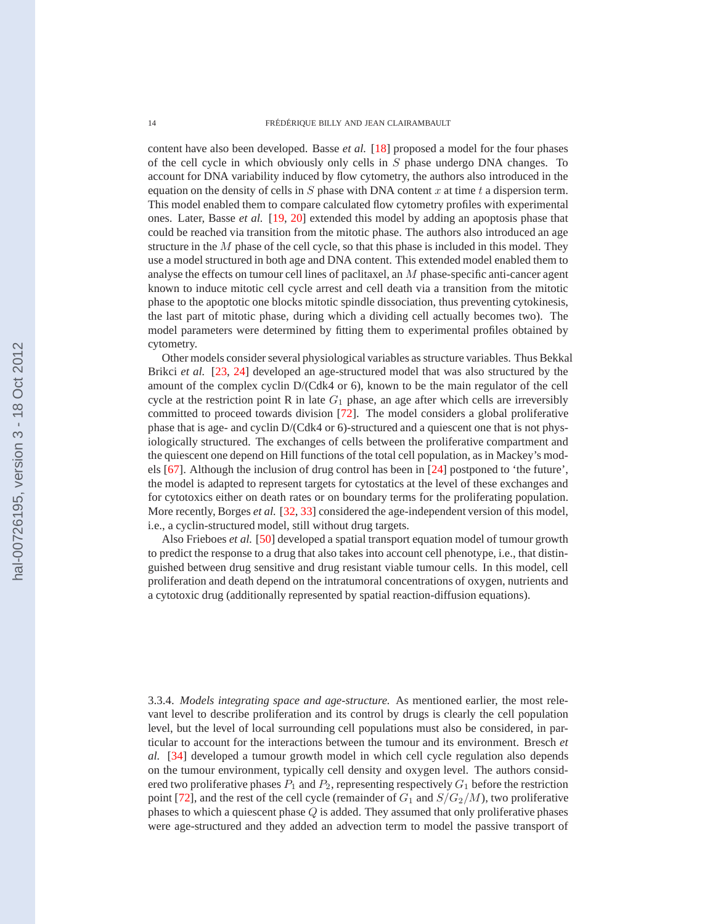content have also been developed. Basse *et al.* [\[18\]](#page-19-0) proposed a model for the four phases of the cell cycle in which obviously only cells in S phase undergo DNA changes. To account for DNA variability induced by flow cytometry, the authors also introduced in the equation on the density of cells in  $S$  phase with DNA content  $x$  at time  $t$  a dispersion term. This model enabled them to compare calculated flow cytometry profiles with experimental ones. Later, Basse *et al.* [\[19,](#page-19-0) [20\]](#page-19-0) extended this model by adding an apoptosis phase that could be reached via transition from the mitotic phase. The authors also introduced an age structure in the  $M$  phase of the cell cycle, so that this phase is included in this model. They use a model structured in both age and DNA content. This extended model enabled them to analyse the effects on tumour cell lines of paclitaxel, an M phase-specific anti-cancer agent known to induce mitotic cell cycle arrest and cell death via a transition from the mitotic phase to the apoptotic one blocks mitotic spindle dissociation, thus preventing cytokinesis, the last part of mitotic phase, during which a dividing cell actually becomes two). The model parameters were determined by fitting them to experimental profiles obtained by cytometry.

Other models consider several physiological variables as structure variables. Thus Bekkal Brikci *et al.* [\[23,](#page-19-0) [24\]](#page-19-0) developed an age-structured model that was also structured by the amount of the complex cyclin D/(Cdk4 or 6), known to be the main regulator of the cell cycle at the restriction point R in late  $G_1$  phase, an age after which cells are irreversibly committed to proceed towards division [\[72\]](#page-21-0). The model considers a global proliferative phase that is age- and cyclin D/(Cdk4 or 6)-structured and a quiescent one that is not physiologically structured. The exchanges of cells between the proliferative compartment and the quiescent one depend on Hill functions of the total cell population, as in Mackey's models [\[67\]](#page-21-0). Although the inclusion of drug control has been in [\[24\]](#page-19-0) postponed to 'the future', the model is adapted to represent targets for cytostatics at the level of these exchanges and for cytotoxics either on death rates or on boundary terms for the proliferating population. More recently, Borges *et al.* [\[32,](#page-20-0) [33\]](#page-20-0) considered the age-independent version of this model, i.e., a cyclin-structured model, still without drug targets.

Also Frieboes *et al.* [\[50\]](#page-21-0) developed a spatial transport equation model of tumour growth to predict the response to a drug that also takes into account cell phenotype, i.e., that distinguished between drug sensitive and drug resistant viable tumour cells. In this model, cell proliferation and death depend on the intratumoral concentrations of oxygen, nutrients and a cytotoxic drug (additionally represented by spatial reaction-diffusion equations).

3.3.4. *Models integrating space and age-structure.* As mentioned earlier, the most relevant level to describe proliferation and its control by drugs is clearly the cell population level, but the level of local surrounding cell populations must also be considered, in particular to account for the interactions between the tumour and its environment. Bresch *et al.* [\[34\]](#page-20-0) developed a tumour growth model in which cell cycle regulation also depends on the tumour environment, typically cell density and oxygen level. The authors considered two proliferative phases  $P_1$  and  $P_2$ , representing respectively  $G_1$  before the restriction point [\[72\]](#page-21-0), and the rest of the cell cycle (remainder of  $G_1$  and  $S/G_2/M$ ), two proliferative phases to which a quiescent phase  $Q$  is added. They assumed that only proliferative phases were age-structured and they added an advection term to model the passive transport of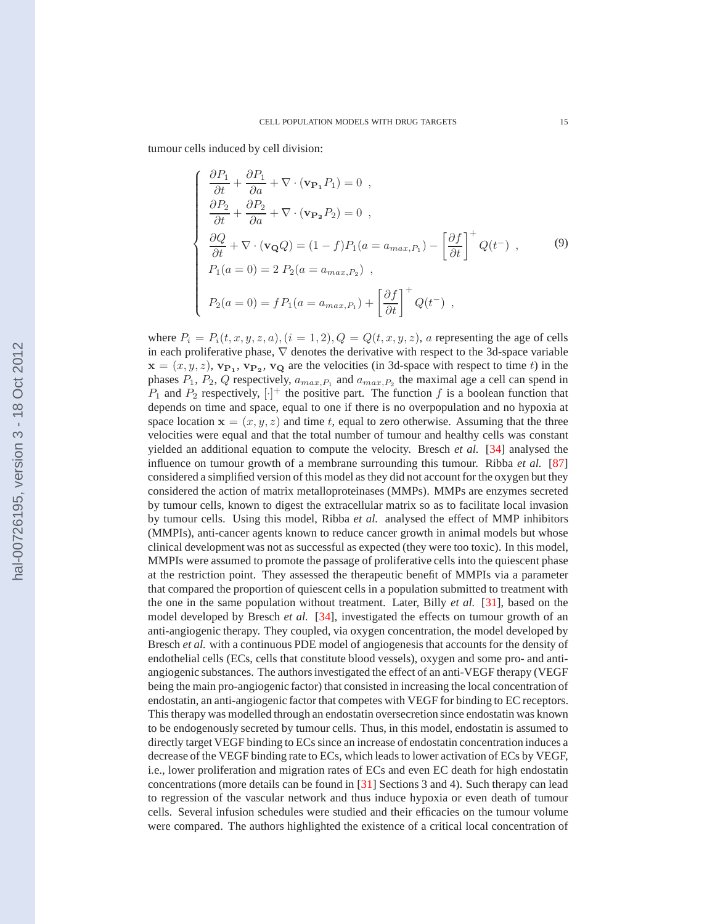tumour cells induced by cell division:

$$
\begin{cases}\n\frac{\partial P_1}{\partial t} + \frac{\partial P_1}{\partial a} + \nabla \cdot (\mathbf{v}_{\mathbf{P}_1} P_1) = 0, \\
\frac{\partial P_2}{\partial t} + \frac{\partial P_2}{\partial a} + \nabla \cdot (\mathbf{v}_{\mathbf{P}_2} P_2) = 0, \\
\frac{\partial Q}{\partial t} + \nabla \cdot (\mathbf{v}_{\mathbf{Q}} Q) = (1 - f) P_1(a = a_{max, P_1}) - \left[\frac{\partial f}{\partial t}\right]^+ Q(t^-), \\
P_1(a = 0) = 2 P_2(a = a_{max, P_2}), \\
P_2(a = 0) = f P_1(a = a_{max, P_1}) + \left[\frac{\partial f}{\partial t}\right]^+ Q(t^-),\n\end{cases} \tag{9}
$$

where  $P_i = P_i(t, x, y, z, a)$ ,  $(i = 1, 2)$ ,  $Q = Q(t, x, y, z)$ , a representing the age of cells in each proliferative phase,  $\nabla$  denotes the derivative with respect to the 3d-space variable  $\mathbf{x} = (x, y, z), \mathbf{v_{P_1}}, \mathbf{v_{P_2}}, \mathbf{v_Q}$  are the velocities (in 3d-space with respect to time t) in the phases  $P_1$ ,  $P_2$ , Q respectively,  $a_{max,P_1}$  and  $a_{max,P_2}$  the maximal age a cell can spend in  $P_1$  and  $P_2$  respectively,  $[\cdot]^+$  the positive part. The function f is a boolean function that depends on time and space, equal to one if there is no overpopulation and no hypoxia at space location  $x = (x, y, z)$  and time t, equal to zero otherwise. Assuming that the three velocities were equal and that the total number of tumour and healthy cells was constant yielded an additional equation to compute the velocity. Bresch *et al.* [\[34\]](#page-20-0) analysed the influence on tumour growth of a membrane surrounding this tumour. Ribba *et al.* [\[87\]](#page-22-0) considered a simplified version of this model as they did not account for the oxygen but they considered the action of matrix metalloproteinases (MMPs). MMPs are enzymes secreted by tumour cells, known to digest the extracellular matrix so as to facilitate local invasion by tumour cells. Using this model, Ribba *et al.* analysed the effect of MMP inhibitors (MMPIs), anti-cancer agents known to reduce cancer growth in animal models but whose clinical development was not as successful as expected (they were too toxic). In this model, MMPIs were assumed to promote the passage of proliferative cells into the quiescent phase at the restriction point. They assessed the therapeutic benefit of MMPIs via a parameter that compared the proportion of quiescent cells in a population submitted to treatment with the one in the same population without treatment. Later, Billy *et al.* [\[31\]](#page-20-0), based on the model developed by Bresch *et al.* [\[34\]](#page-20-0), investigated the effects on tumour growth of an anti-angiogenic therapy. They coupled, via oxygen concentration, the model developed by Bresch *et al.* with a continuous PDE model of angiogenesis that accounts for the density of endothelial cells (ECs, cells that constitute blood vessels), oxygen and some pro- and antiangiogenic substances. The authors investigated the effect of an anti-VEGF therapy (VEGF being the main pro-angiogenic factor) that consisted in increasing the local concentration of endostatin, an anti-angiogenic factor that competes with VEGF for binding to EC receptors. This therapy was modelled through an endostatin oversecretion since endostatin was known to be endogenously secreted by tumour cells. Thus, in this model, endostatin is assumed to directly target VEGF binding to ECs since an increase of endostatin concentration induces a decrease of the VEGF binding rate to ECs, which leads to lower activation of ECs by VEGF, i.e., lower proliferation and migration rates of ECs and even EC death for high endostatin concentrations (more details can be found in [\[31\]](#page-20-0) Sections 3 and 4). Such therapy can lead to regression of the vascular network and thus induce hypoxia or even death of tumour cells. Several infusion schedules were studied and their efficacies on the tumour volume were compared. The authors highlighted the existence of a critical local concentration of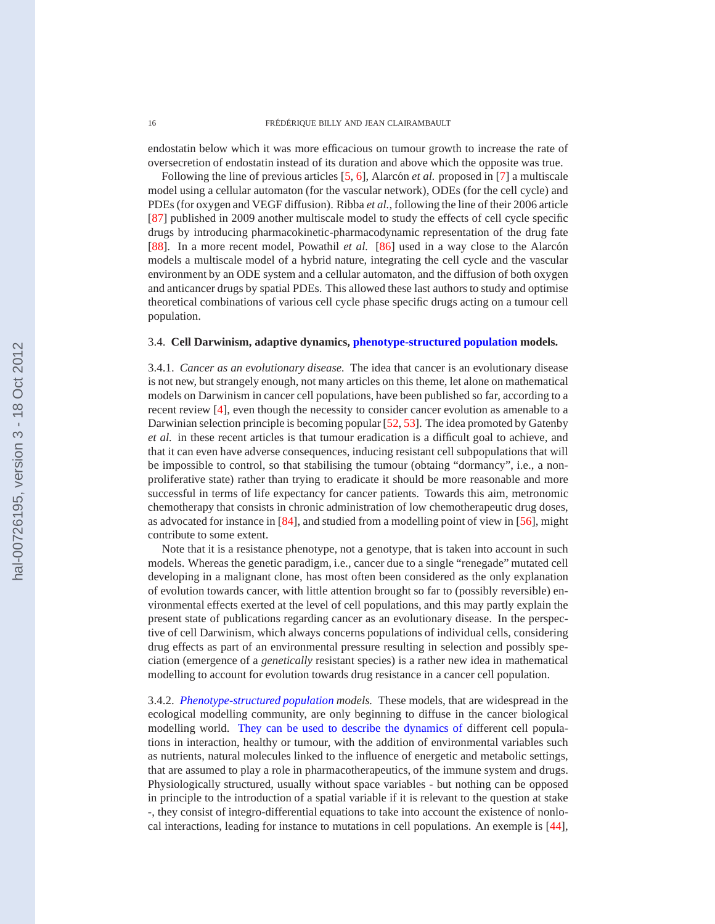endostatin below which it was more efficacious on tumour growth to increase the rate of oversecretion of endostatin instead of its duration and above which the opposite was true.

Following the line of previous articles [\[5,](#page-19-0) [6\]](#page-19-0), Alarcón *et al.* proposed in [\[7\]](#page-19-0) a multiscale model using a cellular automaton (for the vascular network), ODEs (for the cell cycle) and PDEs (for oxygen and VEGF diffusion). Ribba *et al.*, following the line of their 2006 article [\[87\]](#page-22-0) published in 2009 another multiscale model to study the effects of cell cycle specific drugs by introducing pharmacokinetic-pharmacodynamic representation of the drug fate [\[88\]](#page-22-0). In a more recent model, Powathil *et al.* [\[86\]](#page-22-0) used in a way close to the Alarcón models a multiscale model of a hybrid nature, integrating the cell cycle and the vascular environment by an ODE system and a cellular automaton, and the diffusion of both oxygen and anticancer drugs by spatial PDEs. This allowed these last authors to study and optimise theoretical combinations of various cell cycle phase specific drugs acting on a tumour cell population.

### 3.4. **Cell Darwinism, adaptive dynamics, phenotype-structured population models.**

3.4.1. *Cancer as an evolutionary disease.* The idea that cancer is an evolutionary disease is not new, but strangely enough, not many articles on this theme, let alone on mathematical models on Darwinism in cancer cell populations, have been published so far, according to a recent review [\[4\]](#page-19-0), even though the necessity to consider cancer evolution as amenable to a Darwinian selection principle is becoming popular [\[52,](#page-21-0) [53\]](#page-21-0). The idea promoted by Gatenby *et al.* in these recent articles is that tumour eradication is a difficult goal to achieve, and that it can even have adverse consequences, inducing resistant cell subpopulations that will be impossible to control, so that stabilising the tumour (obtaing "dormancy", i.e., a nonproliferative state) rather than trying to eradicate it should be more reasonable and more successful in terms of life expectancy for cancer patients. Towards this aim, metronomic chemotherapy that consists in chronic administration of low chemotherapeutic drug doses, as advocated for instance in [\[84\]](#page-22-0), and studied from a modelling point of view in [\[56\]](#page-21-0), might contribute to some extent.

Note that it is a resistance phenotype, not a genotype, that is taken into account in such models. Whereas the genetic paradigm, i.e., cancer due to a single "renegade" mutated cell developing in a malignant clone, has most often been considered as the only explanation of evolution towards cancer, with little attention brought so far to (possibly reversible) environmental effects exerted at the level of cell populations, and this may partly explain the present state of publications regarding cancer as an evolutionary disease. In the perspective of cell Darwinism, which always concerns populations of individual cells, considering drug effects as part of an environmental pressure resulting in selection and possibly speciation (emergence of a *genetically* resistant species) is a rather new idea in mathematical modelling to account for evolution towards drug resistance in a cancer cell population.

3.4.2. *Phenotype-structured population models.* These models, that are widespread in the ecological modelling community, are only beginning to diffuse in the cancer biological modelling world. They can be used to describe the dynamics of different cell populations in interaction, healthy or tumour, with the addition of environmental variables such as nutrients, natural molecules linked to the influence of energetic and metabolic settings, that are assumed to play a role in pharmacotherapeutics, of the immune system and drugs. Physiologically structured, usually without space variables - but nothing can be opposed in principle to the introduction of a spatial variable if it is relevant to the question at stake -, they consist of integro-differential equations to take into account the existence of nonlocal interactions, leading for instance to mutations in cell populations. An exemple is [\[44\]](#page-20-0),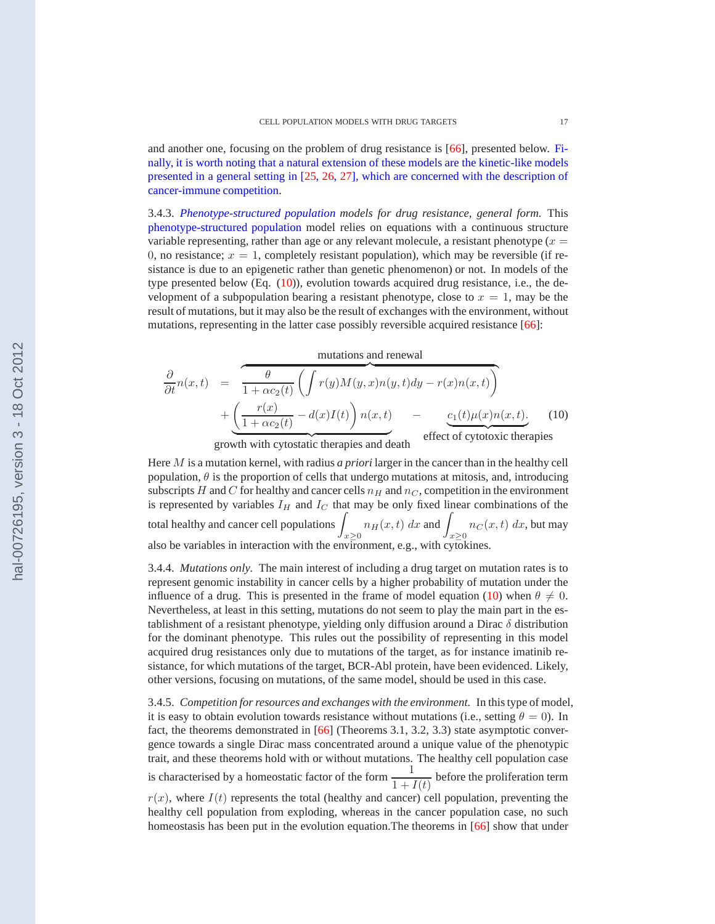<span id="page-16-0"></span>and another one, focusing on the problem of drug resistance is [\[66\]](#page-21-0), presented below. Finally, it is worth noting that a natural extension of these models are the kinetic-like models presented in a general setting in [\[25,](#page-20-0) [26,](#page-20-0) [27\]](#page-20-0), which are concerned with the description of cancer-immune competition.

3.4.3. *Phenotype-structured population models for drug resistance, general form.* This phenotype-structured population model relies on equations with a continuous structure variable representing, rather than age or any relevant molecule, a resistant phenotype ( $x =$ 0, no resistance;  $x = 1$ , completely resistant population), which may be reversible (if resistance is due to an epigenetic rather than genetic phenomenon) or not. In models of the type presented below (Eq.  $(10)$ ), evolution towards acquired drug resistance, i.e., the development of a subpopulation bearing a resistant phenotype, close to  $x = 1$ , may be the result of mutations, but it may also be the result of exchanges with the environment, without mutations, representing in the latter case possibly reversible acquired resistance [\[66\]](#page-21-0):

mutations and renewal

$$
\frac{\partial}{\partial t}n(x,t) = \overbrace{\frac{\theta}{1 + \alpha c_2(t)}}^{\theta} \left( \int r(y)M(y,x)n(y,t)dy - r(x)n(x,t) \right) + \underbrace{\left( \frac{r(x)}{1 + \alpha c_2(t)} - d(x)I(t) \right) n(x,t)}_{\text{growth with cystostatic thermipes and death}} - \underbrace{c_1(t)\mu(x)n(x,t)}_{\text{effect of cytotoxic thermpies}}.
$$
\n(10)

Here M is a mutation kernel, with radius *a priori* larger in the cancer than in the healthy cell population,  $\theta$  is the proportion of cells that undergo mutations at mitosis, and, introducing subscripts H and C for healthy and cancer cells  $n_H$  and  $n_C$ , competition in the environment is represented by variables  $I_H$  and  $I_C$  that may be only fixed linear combinations of the total healthy and cancer cell populations  $\int$  $\int_{x\geq 0} n_H(x,t) dx$  and  $\int_{x\geq 0} n_C(x,t) dx$ , but may also be variables in interaction with the environment, e.g., with cytokines.

3.4.4. *Mutations only.* The main interest of including a drug target on mutation rates is to represent genomic instability in cancer cells by a higher probability of mutation under the influence of a drug. This is presented in the frame of model equation (10) when  $\theta \neq 0$ . Nevertheless, at least in this setting, mutations do not seem to play the main part in the establishment of a resistant phenotype, yielding only diffusion around a Dirac  $\delta$  distribution for the dominant phenotype. This rules out the possibility of representing in this model acquired drug resistances only due to mutations of the target, as for instance imatinib resistance, for which mutations of the target, BCR-Abl protein, have been evidenced. Likely, other versions, focusing on mutations, of the same model, should be used in this case.

3.4.5. *Competition for resources and exchanges with the environment.* In this type of model, it is easy to obtain evolution towards resistance without mutations (i.e., setting  $\theta = 0$ ). In fact, the theorems demonstrated in [\[66\]](#page-21-0) (Theorems 3.1, 3.2, 3.3) state asymptotic convergence towards a single Dirac mass concentrated around a unique value of the phenotypic trait, and these theorems hold with or without mutations. The healthy cell population case is characterised by a homeostatic factor of the form  $\frac{1}{1+I(t)}$  before the proliferation term  $r(x)$ , where  $I(t)$  represents the total (healthy and cancer) cell population, preventing the healthy cell population from exploding, whereas in the cancer population case, no such homeostasis has been put in the evolution equation. The theorems in [\[66\]](#page-21-0) show that under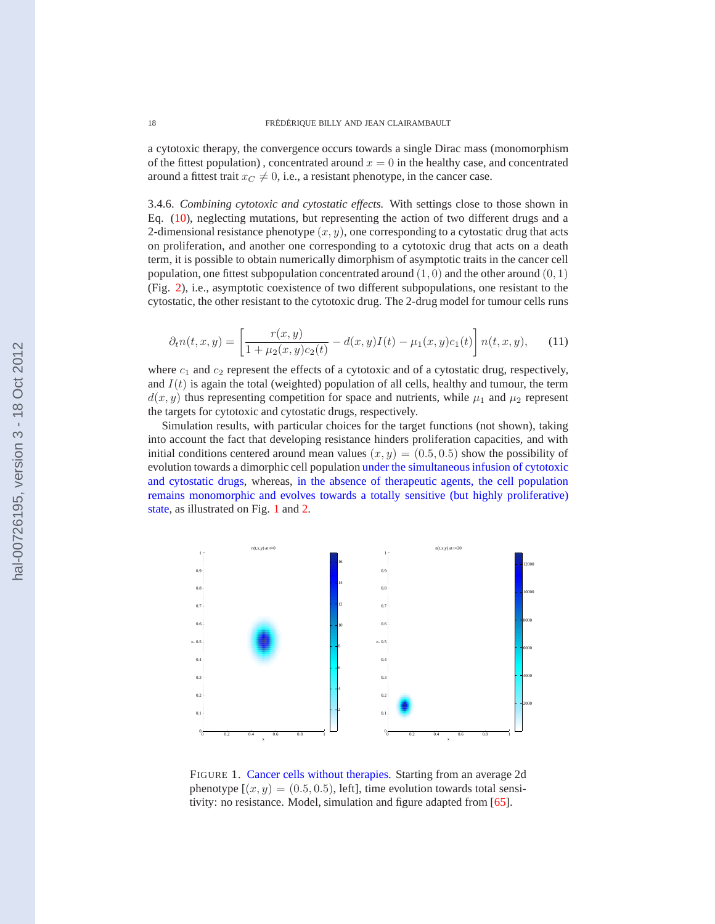a cytotoxic therapy, the convergence occurs towards a single Dirac mass (monomorphism of the fittest population), concentrated around  $x = 0$  in the healthy case, and concentrated around a fittest trait  $x_C \neq 0$ , i.e., a resistant phenotype, in the cancer case.

3.4.6. *Combining cytotoxic and cytostatic effects.* With settings close to those shown in Eq. [\(10\)](#page-16-0), neglecting mutations, but representing the action of two different drugs and a 2-dimensional resistance phenotype  $(x, y)$ , one corresponding to a cytostatic drug that acts on proliferation, and another one corresponding to a cytotoxic drug that acts on a death term, it is possible to obtain numerically dimorphism of asymptotic traits in the cancer cell population, one fittest subpopulation concentrated around  $(1, 0)$  and the other around  $(0, 1)$ (Fig. [2\)](#page-18-0), i.e., asymptotic coexistence of two different subpopulations, one resistant to the cytostatic, the other resistant to the cytotoxic drug. The 2-drug model for tumour cells runs

$$
\partial_t n(t, x, y) = \left[ \frac{r(x, y)}{1 + \mu_2(x, y)c_2(t)} - d(x, y)I(t) - \mu_1(x, y)c_1(t) \right] n(t, x, y), \quad (11)
$$

where  $c_1$  and  $c_2$  represent the effects of a cytotoxic and of a cytostatic drug, respectively, and  $I(t)$  is again the total (weighted) population of all cells, healthy and tumour, the term  $d(x, y)$  thus representing competition for space and nutrients, while  $\mu_1$  and  $\mu_2$  represent the targets for cytotoxic and cytostatic drugs, respectively.

Simulation results, with particular choices for the target functions (not shown), taking into account the fact that developing resistance hinders proliferation capacities, and with initial conditions centered around mean values  $(x, y) = (0.5, 0.5)$  show the possibility of evolution towards a dimorphic cell population under the simultaneous infusion of cytotoxic and cytostatic drugs, whereas, in the absence of therapeutic agents, the cell population remains monomorphic and evolves towards a totally sensitive (but highly proliferative) state, as illustrated on Fig. 1 and [2.](#page-18-0)



FIGURE 1. Cancer cells without therapies. Starting from an average 2d phenotype  $[(x, y) = (0.5, 0.5)$ , left], time evolution towards total sensitivity: no resistance. Model, simulation and figure adapted from [\[65\]](#page-21-0).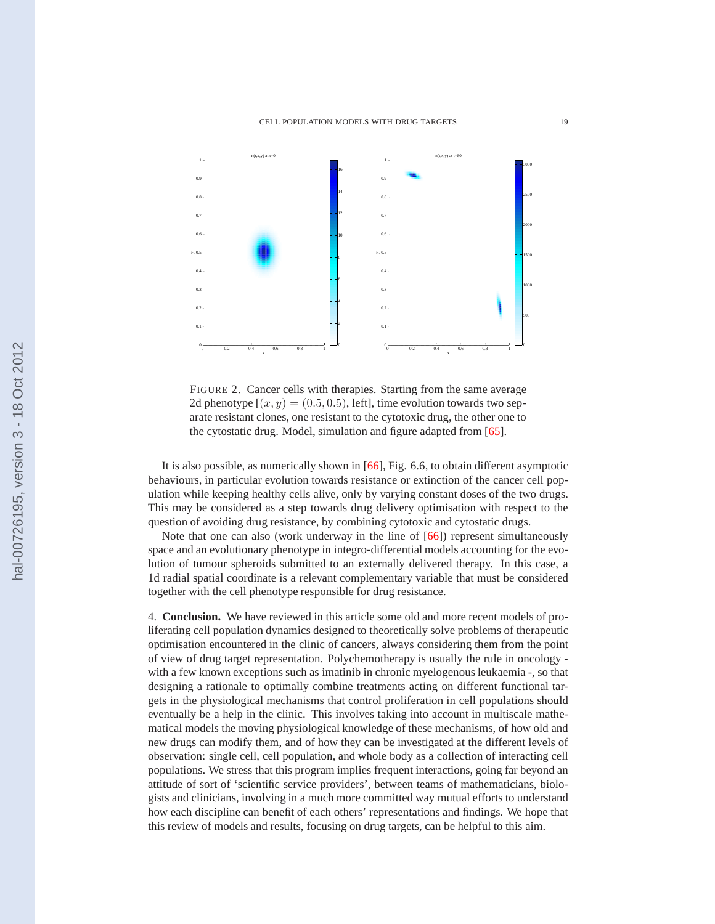<span id="page-18-0"></span>

FIGURE 2. Cancer cells with therapies. Starting from the same average 2d phenotype  $[(x, y) = (0.5, 0.5),$  left], time evolution towards two separate resistant clones, one resistant to the cytotoxic drug, the other one to the cytostatic drug. Model, simulation and figure adapted from [\[65\]](#page-21-0).

It is also possible, as numerically shown in [\[66\]](#page-21-0), Fig. 6.6, to obtain different asymptotic behaviours, in particular evolution towards resistance or extinction of the cancer cell population while keeping healthy cells alive, only by varying constant doses of the two drugs. This may be considered as a step towards drug delivery optimisation with respect to the question of avoiding drug resistance, by combining cytotoxic and cytostatic drugs.

Note that one can also (work underway in the line of [\[66\]](#page-21-0)) represent simultaneously space and an evolutionary phenotype in integro-differential models accounting for the evolution of tumour spheroids submitted to an externally delivered therapy. In this case, a 1d radial spatial coordinate is a relevant complementary variable that must be considered together with the cell phenotype responsible for drug resistance.

4. **Conclusion.** We have reviewed in this article some old and more recent models of proliferating cell population dynamics designed to theoretically solve problems of therapeutic optimisation encountered in the clinic of cancers, always considering them from the point of view of drug target representation. Polychemotherapy is usually the rule in oncology with a few known exceptions such as imatinib in chronic myelogenous leukaemia -, so that designing a rationale to optimally combine treatments acting on different functional targets in the physiological mechanisms that control proliferation in cell populations should eventually be a help in the clinic. This involves taking into account in multiscale mathematical models the moving physiological knowledge of these mechanisms, of how old and new drugs can modify them, and of how they can be investigated at the different levels of observation: single cell, cell population, and whole body as a collection of interacting cell populations. We stress that this program implies frequent interactions, going far beyond an attitude of sort of 'scientific service providers', between teams of mathematicians, biologists and clinicians, involving in a much more committed way mutual efforts to understand how each discipline can benefit of each others' representations and findings. We hope that this review of models and results, focusing on drug targets, can be helpful to this aim.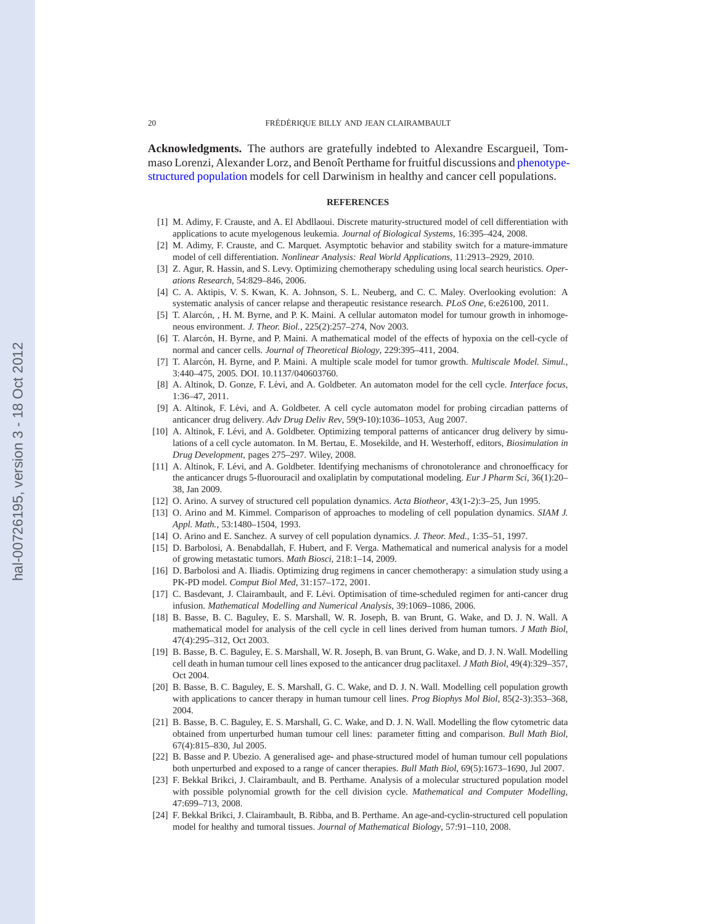<span id="page-19-0"></span>**Acknowledgments.** The authors are gratefully indebted to Alexandre Escargueil, Tommaso Lorenzi, Alexander Lorz, and Benoît Perthame for fruitful discussions and phenotypestructured population models for cell Darwinism in healthy and cancer cell populations.

#### **REFERENCES**

- [1] M. Adimy, F. Crauste, and A. El Abdllaoui. Discrete maturity-structured model of cell differentiation with applications to acute myelogenous leukemia. *Journal of Biological Systems*, 16:395–424, 2008.
- [2] M. Adimy, F. Crauste, and C. Marquet. Asymptotic behavior and stability switch for a mature-immature model of cell differentiation. *Nonlinear Analysis: Real World Applications*, 11:2913–2929, 2010.
- [3] Z. Agur, R. Hassin, and S. Levy. Optimizing chemotherapy scheduling using local search heuristics. *Operations Research*, 54:829–846, 2006.
- [4] C. A. Aktipis, V. S. Kwan, K. A. Johnson, S. L. Neuberg, and C. C. Maley. Overlooking evolution: A systematic analysis of cancer relapse and therapeutic resistance research. *PLoS One*, 6:e26100, 2011.
- [5] T. Alarcón, , H. M. Byrne, and P. K. Maini. A cellular automaton model for tumour growth in inhomogeneous environment. *J. Theor. Biol.*, 225(2):257–274, Nov 2003.
- [6] T. Alarcón, H. Byrne, and P. Maini. A mathematical model of the effects of hypoxia on the cell-cycle of normal and cancer cells. *Journal of Theoretical Biology*, 229:395–411, 2004.
- [7] T. Alarc´on, H. Byrne, and P. Maini. A multiple scale model for tumor growth. *Multiscale Model. Simul.*, 3:440–475, 2005. DOI. 10.1137/040603760.
- [8] A. Altinok, D. Gonze, F. Lévi, and A. Goldbeter. An automaton model for the cell cycle. *Interface focus*, 1:36–47, 2011.
- [9] A. Altinok, F. Lévi, and A. Goldbeter. A cell cycle automaton model for probing circadian patterns of anticancer drug delivery. *Adv Drug Deliv Rev*, 59(9-10):1036–1053, Aug 2007.
- [10] A. Altinok, F. Lévi, and A. Goldbeter. Optimizing temporal patterns of anticancer drug delivery by simulations of a cell cycle automaton. In M. Bertau, E. Mosekilde, and H. Westerhoff, editors, *Biosimulation in Drug Development*, pages 275–297. Wiley, 2008.
- [11] A. Altinok, F. Lévi, and A. Goldbeter. Identifying mechanisms of chronotolerance and chronoefficacy for the anticancer drugs 5-fluorouracil and oxaliplatin by computational modeling. *Eur J Pharm Sci*, 36(1):20– 38, Jan 2009.
- [12] O. Arino. A survey of structured cell population dynamics. *Acta Biotheor*, 43(1-2):3–25, Jun 1995.
- [13] O. Arino and M. Kimmel. Comparison of approaches to modeling of cell population dynamics. *SIAM J. Appl. Math.*, 53:1480–1504, 1993.
- [14] O. Arino and E. Sanchez. A survey of cell population dynamics. *J. Theor. Med.*, 1:35–51, 1997.
- [15] D. Barbolosi, A. Benabdallah, F. Hubert, and F. Verga. Mathematical and numerical analysis for a model of growing metastatic tumors. *Math Biosci*, 218:1–14, 2009.
- [16] D. Barbolosi and A. Iliadis. Optimizing drug regimens in cancer chemotherapy: a simulation study using a PK-PD model. *Comput Biol Med*, 31:157–172, 2001.
- [17] C. Basdevant, J. Clairambault, and F. Lévi. Optimisation of time-scheduled regimen for anti-cancer drug infusion. *Mathematical Modelling and Numerical Analysis*, 39:1069–1086, 2006.
- [18] B. Basse, B. C. Baguley, E. S. Marshall, W. R. Joseph, B. van Brunt, G. Wake, and D. J. N. Wall. A mathematical model for analysis of the cell cycle in cell lines derived from human tumors. *J Math Biol*, 47(4):295–312, Oct 2003.
- [19] B. Basse, B. C. Baguley, E. S. Marshall, W. R. Joseph, B. van Brunt, G. Wake, and D. J. N. Wall. Modelling cell death in human tumour cell lines exposed to the anticancer drug paclitaxel. *J Math Biol*, 49(4):329–357, Oct 2004.
- [20] B. Basse, B. C. Baguley, E. S. Marshall, G. C. Wake, and D. J. N. Wall. Modelling cell population growth with applications to cancer therapy in human tumour cell lines. *Prog Biophys Mol Biol*, 85(2-3):353–368, 2004.
- [21] B. Basse, B. C. Baguley, E. S. Marshall, G. C. Wake, and D. J. N. Wall. Modelling the flow cytometric data obtained from unperturbed human tumour cell lines: parameter fitting and comparison. *Bull Math Biol*, 67(4):815–830, Jul 2005.
- [22] B. Basse and P. Ubezio. A generalised age- and phase-structured model of human tumour cell populations both unperturbed and exposed to a range of cancer therapies. *Bull Math Biol*, 69(5):1673–1690, Jul 2007.
- [23] F. Bekkal Brikci, J. Clairambault, and B. Perthame. Analysis of a molecular structured population model with possible polynomial growth for the cell division cycle. *Mathematical and Computer Modelling*, 47:699–713, 2008.
- [24] F. Bekkal Brikci, J. Clairambault, B. Ribba, and B. Perthame. An age-and-cyclin-structured cell population model for healthy and tumoral tissues. *Journal of Mathematical Biology*, 57:91–110, 2008.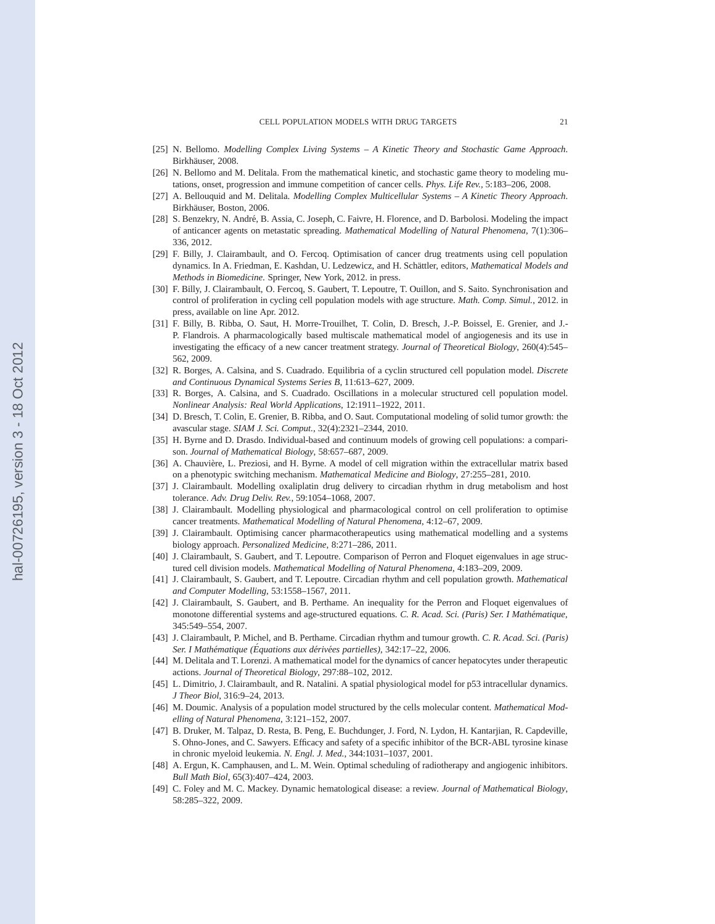- <span id="page-20-0"></span>[25] N. Bellomo. *Modelling Complex Living Systems – A Kinetic Theory and Stochastic Game Approach*. Birkhäuser, 2008.
- [26] N. Bellomo and M. Delitala. From the mathematical kinetic, and stochastic game theory to modeling mutations, onset, progression and immune competition of cancer cells. *Phys. Life Rev.*, 5:183–206, 2008.
- [27] A. Bellouquid and M. Delitala. *Modelling Complex Multicellular Systems A Kinetic Theory Approach*. Birkhäuser, Boston, 2006.
- [28] S. Benzekry, N. André, B. Assia, C. Joseph, C. Faivre, H. Florence, and D. Barbolosi. Modeling the impact of anticancer agents on metastatic spreading. *Mathematical Modelling of Natural Phenomena*, 7(1):306– 336, 2012.
- [29] F. Billy, J. Clairambault, and O. Fercoq. Optimisation of cancer drug treatments using cell population dynamics. In A. Friedman, E. Kashdan, U. Ledzewicz, and H. Schättler, editors, *Mathematical Models and Methods in Biomedicine*. Springer, New York, 2012. in press.
- [30] F. Billy, J. Clairambault, O. Fercoq, S. Gaubert, T. Lepoutre, T. Ouillon, and S. Saito. Synchronisation and control of proliferation in cycling cell population models with age structure. *Math. Comp. Simul.*, 2012. in press, available on line Apr. 2012.
- [31] F. Billy, B. Ribba, O. Saut, H. Morre-Trouilhet, T. Colin, D. Bresch, J.-P. Boissel, E. Grenier, and J.- P. Flandrois. A pharmacologically based multiscale mathematical model of angiogenesis and its use in investigating the efficacy of a new cancer treatment strategy. *Journal of Theoretical Biology*, 260(4):545– 562, 2009.
- [32] R. Borges, A. Calsina, and S. Cuadrado. Equilibria of a cyclin structured cell population model. *Discrete and Continuous Dynamical Systems Series B*, 11:613–627, 2009.
- [33] R. Borges, A. Calsina, and S. Cuadrado. Oscillations in a molecular structured cell population model. *Nonlinear Analysis: Real World Applications*, 12:1911–1922, 2011.
- [34] D. Bresch, T. Colin, E. Grenier, B. Ribba, and O. Saut. Computational modeling of solid tumor growth: the avascular stage. *SIAM J. Sci. Comput.*, 32(4):2321–2344, 2010.
- [35] H. Byrne and D. Drasdo. Individual-based and continuum models of growing cell populations: a comparison. *Journal of Mathematical Biology*, 58:657–687, 2009.
- [36] A. Chauvière, L. Preziosi, and H. Byrne. A model of cell migration within the extracellular matrix based on a phenotypic switching mechanism. *Mathematical Medicine and Biology*, 27:255–281, 2010.
- [37] J. Clairambault. Modelling oxaliplatin drug delivery to circadian rhythm in drug metabolism and host tolerance. *Adv. Drug Deliv. Rev.*, 59:1054–1068, 2007.
- [38] J. Clairambault. Modelling physiological and pharmacological control on cell proliferation to optimise cancer treatments. *Mathematical Modelling of Natural Phenomena*, 4:12–67, 2009.
- [39] J. Clairambault. Optimising cancer pharmacotherapeutics using mathematical modelling and a systems biology approach. *Personalized Medicine*, 8:271–286, 2011.
- [40] J. Clairambault, S. Gaubert, and T. Lepoutre. Comparison of Perron and Floquet eigenvalues in age structured cell division models. *Mathematical Modelling of Natural Phenomena*, 4:183–209, 2009.
- [41] J. Clairambault, S. Gaubert, and T. Lepoutre. Circadian rhythm and cell population growth. *Mathematical and Computer Modelling*, 53:1558–1567, 2011.
- [42] J. Clairambault, S. Gaubert, and B. Perthame. An inequality for the Perron and Floquet eigenvalues of monotone differential systems and age-structured equations. *C. R. Acad. Sci. (Paris) Ser. I Mathématique*, 345:549–554, 2007.
- [43] J. Clairambault, P. Michel, and B. Perthame. Circadian rhythm and tumour growth. *C. R. Acad. Sci. (Paris) Ser. I Math´ematique (Equations aux d´eriv´ees partielles) ´* , 342:17–22, 2006.
- [44] M. Delitala and T. Lorenzi. A mathematical model for the dynamics of cancer hepatocytes under therapeutic actions. *Journal of Theoretical Biology*, 297:88–102, 2012.
- [45] L. Dimitrio, J. Clairambault, and R. Natalini. A spatial physiological model for p53 intracellular dynamics. *J Theor Biol*, 316:9–24, 2013.
- [46] M. Doumic. Analysis of a population model structured by the cells molecular content. *Mathematical Modelling of Natural Phenomena*, 3:121–152, 2007.
- [47] B. Druker, M. Talpaz, D. Resta, B. Peng, E. Buchdunger, J. Ford, N. Lydon, H. Kantarjian, R. Capdeville, S. Ohno-Jones, and C. Sawyers. Efficacy and safety of a specific inhibitor of the BCR-ABL tyrosine kinase in chronic myeloid leukemia. *N. Engl. J. Med.*, 344:1031–1037, 2001.
- [48] A. Ergun, K. Camphausen, and L. M. Wein. Optimal scheduling of radiotherapy and angiogenic inhibitors. *Bull Math Biol*, 65(3):407–424, 2003.
- [49] C. Foley and M. C. Mackey. Dynamic hematological disease: a review. *Journal of Mathematical Biology*, 58:285–322, 2009.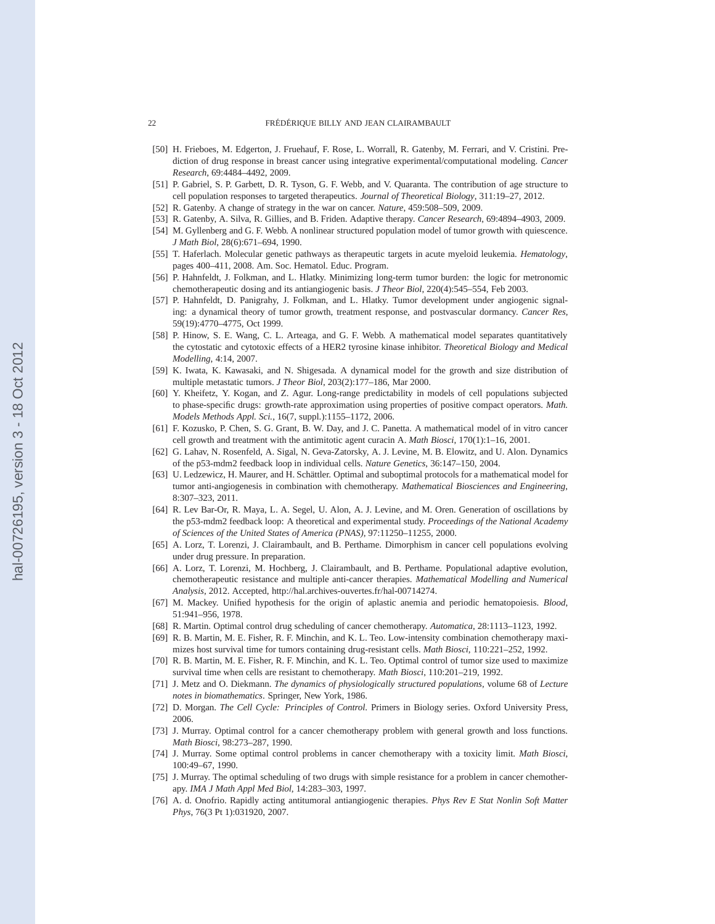- [50] H. Frieboes, M. Edgerton, J. Fruehauf, F. Rose, L. Worrall, R. Gatenby, M. Ferrari, and V. Cristini. Prediction of drug response in breast cancer using integrative experimental/computational modeling. *Cancer Research*, 69:4484–4492, 2009.
- [51] P. Gabriel, S. P. Garbett, D. R. Tyson, G. F. Webb, and V. Quaranta. The contribution of age structure to cell population responses to targeted therapeutics. *Journal of Theoretical Biology*, 311:19–27, 2012.
- [52] R. Gatenby. A change of strategy in the war on cancer. *Nature*, 459:508–509, 2009.
- [53] R. Gatenby, A. Silva, R. Gillies, and B. Friden. Adaptive therapy. *Cancer Research*, 69:4894–4903, 2009.
- [54] M. Gyllenberg and G. F. Webb. A nonlinear structured population model of tumor growth with quiescence. *J Math Biol*, 28(6):671–694, 1990.
- [55] T. Haferlach. Molecular genetic pathways as therapeutic targets in acute myeloid leukemia. *Hematology*, pages 400–411, 2008. Am. Soc. Hematol. Educ. Program.
- [56] P. Hahnfeldt, J. Folkman, and L. Hlatky. Minimizing long-term tumor burden: the logic for metronomic chemotherapeutic dosing and its antiangiogenic basis. *J Theor Biol*, 220(4):545–554, Feb 2003.
- [57] P. Hahnfeldt, D. Panigrahy, J. Folkman, and L. Hlatky. Tumor development under angiogenic signaling: a dynamical theory of tumor growth, treatment response, and postvascular dormancy. *Cancer Res*, 59(19):4770–4775, Oct 1999.
- [58] P. Hinow, S. E. Wang, C. L. Arteaga, and G. F. Webb. A mathematical model separates quantitatively the cytostatic and cytotoxic effects of a HER2 tyrosine kinase inhibitor. *Theoretical Biology and Medical Modelling*, 4:14, 2007.
- [59] K. Iwata, K. Kawasaki, and N. Shigesada. A dynamical model for the growth and size distribution of multiple metastatic tumors. *J Theor Biol*, 203(2):177–186, Mar 2000.
- [60] Y. Kheifetz, Y. Kogan, and Z. Agur. Long-range predictability in models of cell populations subjected to phase-specific drugs: growth-rate approximation using properties of positive compact operators. *Math. Models Methods Appl. Sci.*, 16(7, suppl.):1155–1172, 2006.
- [61] F. Kozusko, P. Chen, S. G. Grant, B. W. Day, and J. C. Panetta. A mathematical model of in vitro cancer cell growth and treatment with the antimitotic agent curacin A. *Math Biosci*, 170(1):1–16, 2001.
- [62] G. Lahav, N. Rosenfeld, A. Sigal, N. Geva-Zatorsky, A. J. Levine, M. B. Elowitz, and U. Alon. Dynamics of the p53-mdm2 feedback loop in individual cells. *Nature Genetics*, 36:147–150, 2004.
- [63] U. Ledzewicz, H. Maurer, and H. Schättler. Optimal and suboptimal protocols for a mathematical model for tumor anti-angiogenesis in combination with chemotherapy. *Mathematical Biosciences and Engineering*, 8:307–323, 2011.
- [64] R. Lev Bar-Or, R. Maya, L. A. Segel, U. Alon, A. J. Levine, and M. Oren. Generation of oscillations by the p53-mdm2 feedback loop: A theoretical and experimental study. *Proceedings of the National Academy of Sciences of the United States of America (PNAS)*, 97:11250–11255, 2000.
- [65] A. Lorz, T. Lorenzi, J. Clairambault, and B. Perthame. Dimorphism in cancer cell populations evolving under drug pressure. In preparation.
- [66] A. Lorz, T. Lorenzi, M. Hochberg, J. Clairambault, and B. Perthame. Populational adaptive evolution, chemotherapeutic resistance and multiple anti-cancer therapies. *Mathematical Modelling and Numerical Analysis*, 2012. Accepted, http://hal.archives-ouvertes.fr/hal-00714274.
- [67] M. Mackey. Unified hypothesis for the origin of aplastic anemia and periodic hematopoiesis. *Blood*, 51:941–956, 1978.
- [68] R. Martin. Optimal control drug scheduling of cancer chemotherapy. *Automatica*, 28:1113–1123, 1992.
- [69] R. B. Martin, M. E. Fisher, R. F. Minchin, and K. L. Teo. Low-intensity combination chemotherapy maximizes host survival time for tumors containing drug-resistant cells. *Math Biosci*, 110:221–252, 1992.
- [70] R. B. Martin, M. E. Fisher, R. F. Minchin, and K. L. Teo. Optimal control of tumor size used to maximize survival time when cells are resistant to chemotherapy. *Math Biosci*, 110:201–219, 1992.
- [71] J. Metz and O. Diekmann. *The dynamics of physiologically structured populations*, volume 68 of *Lecture notes in biomathematics*. Springer, New York, 1986.
- [72] D. Morgan. *The Cell Cycle: Principles of Control*. Primers in Biology series. Oxford University Press, 2006.
- [73] J. Murray. Optimal control for a cancer chemotherapy problem with general growth and loss functions. *Math Biosci*, 98:273–287, 1990.
- [74] J. Murray. Some optimal control problems in cancer chemotherapy with a toxicity limit. *Math Biosci*, 100:49–67, 1990.
- [75] J. Murray. The optimal scheduling of two drugs with simple resistance for a problem in cancer chemotherapy. *IMA J Math Appl Med Biol*, 14:283–303, 1997.
- [76] A. d. Onofrio. Rapidly acting antitumoral antiangiogenic therapies. *Phys Rev E Stat Nonlin Soft Matter Phys*, 76(3 Pt 1):031920, 2007.

<span id="page-21-0"></span>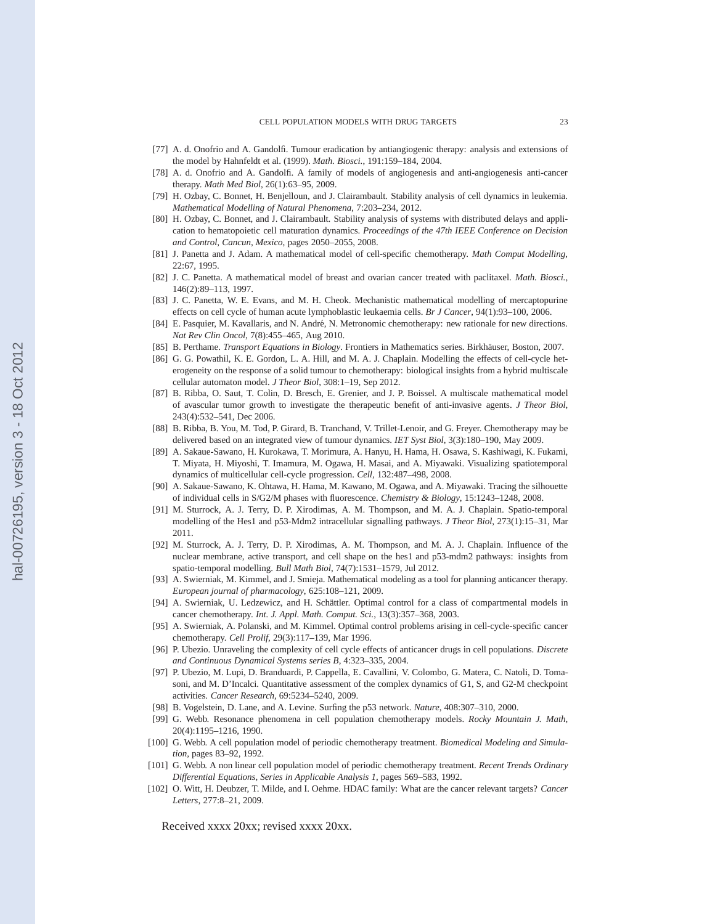- <span id="page-22-0"></span>[77] A. d. Onofrio and A. Gandolfi. Tumour eradication by antiangiogenic therapy: analysis and extensions of the model by Hahnfeldt et al. (1999). *Math. Biosci.*, 191:159–184, 2004.
- [78] A. d. Onofrio and A. Gandolfi. A family of models of angiogenesis and anti-angiogenesis anti-cancer therapy. *Math Med Biol*, 26(1):63–95, 2009.
- [79] H. Ozbay, C. Bonnet, H. Benjelloun, and J. Clairambault. Stability analysis of cell dynamics in leukemia. *Mathematical Modelling of Natural Phenomena*, 7:203–234, 2012.
- [80] H. Ozbay, C. Bonnet, and J. Clairambault. Stability analysis of systems with distributed delays and application to hematopoietic cell maturation dynamics. *Proceedings of the 47th IEEE Conference on Decision and Control, Cancun, Mexico*, pages 2050–2055, 2008.
- [81] J. Panetta and J. Adam. A mathematical model of cell-specific chemotherapy. *Math Comput Modelling*, 22:67, 1995.
- [82] J. C. Panetta. A mathematical model of breast and ovarian cancer treated with paclitaxel. *Math. Biosci.*, 146(2):89–113, 1997.
- [83] J. C. Panetta, W. E. Evans, and M. H. Cheok. Mechanistic mathematical modelling of mercaptopurine effects on cell cycle of human acute lymphoblastic leukaemia cells. *Br J Cancer*, 94(1):93–100, 2006.
- [84] E. Pasquier, M. Kavallaris, and N. André, N. Metronomic chemotherapy: new rationale for new directions. *Nat Rev Clin Oncol*, 7(8):455–465, Aug 2010.
- [85] B. Perthame. *Transport Equations in Biology*. Frontiers in Mathematics series. Birkhäuser, Boston, 2007.
- [86] G. G. Powathil, K. E. Gordon, L. A. Hill, and M. A. J. Chaplain. Modelling the effects of cell-cycle heterogeneity on the response of a solid tumour to chemotherapy: biological insights from a hybrid multiscale cellular automaton model. *J Theor Biol*, 308:1–19, Sep 2012.
- [87] B. Ribba, O. Saut, T. Colin, D. Bresch, E. Grenier, and J. P. Boissel. A multiscale mathematical model of avascular tumor growth to investigate the therapeutic benefit of anti-invasive agents. *J Theor Biol*, 243(4):532–541, Dec 2006.
- [88] B. Ribba, B. You, M. Tod, P. Girard, B. Tranchand, V. Trillet-Lenoir, and G. Freyer. Chemotherapy may be delivered based on an integrated view of tumour dynamics. *IET Syst Biol*, 3(3):180–190, May 2009.
- [89] A. Sakaue-Sawano, H. Kurokawa, T. Morimura, A. Hanyu, H. Hama, H. Osawa, S. Kashiwagi, K. Fukami, T. Miyata, H. Miyoshi, T. Imamura, M. Ogawa, H. Masai, and A. Miyawaki. Visualizing spatiotemporal dynamics of multicellular cell-cycle progression. *Cell*, 132:487–498, 2008.
- [90] A. Sakaue-Sawano, K. Ohtawa, H. Hama, M. Kawano, M. Ogawa, and A. Miyawaki. Tracing the silhouette of individual cells in S/G2/M phases with fluorescence. *Chemistry & Biology*, 15:1243–1248, 2008.
- [91] M. Sturrock, A. J. Terry, D. P. Xirodimas, A. M. Thompson, and M. A. J. Chaplain. Spatio-temporal modelling of the Hes1 and p53-Mdm2 intracellular signalling pathways. *J Theor Biol*, 273(1):15–31, Mar 2011.
- [92] M. Sturrock, A. J. Terry, D. P. Xirodimas, A. M. Thompson, and M. A. J. Chaplain. Influence of the nuclear membrane, active transport, and cell shape on the hes1 and p53-mdm2 pathways: insights from spatio-temporal modelling. *Bull Math Biol*, 74(7):1531–1579, Jul 2012.
- [93] A. Swierniak, M. Kimmel, and J. Smieja. Mathematical modeling as a tool for planning anticancer therapy. *European journal of pharmacology*, 625:108–121, 2009.
- [94] A. Swierniak, U. Ledzewicz, and H. Schättler. Optimal control for a class of compartmental models in cancer chemotherapy. *Int. J. Appl. Math. Comput. Sci.*, 13(3):357–368, 2003.
- [95] A. Swierniak, A. Polanski, and M. Kimmel. Optimal control problems arising in cell-cycle-specific cancer chemotherapy. *Cell Prolif*, 29(3):117–139, Mar 1996.
- [96] P. Ubezio. Unraveling the complexity of cell cycle effects of anticancer drugs in cell populations. *Discrete and Continuous Dynamical Systems series B*, 4:323–335, 2004.
- [97] P. Ubezio, M. Lupi, D. Branduardi, P. Cappella, E. Cavallini, V. Colombo, G. Matera, C. Natoli, D. Tomasoni, and M. D'Incalci. Quantitative assessment of the complex dynamics of G1, S, and G2-M checkpoint activities. *Cancer Research*, 69:5234–5240, 2009.
- [98] B. Vogelstein, D. Lane, and A. Levine. Surfing the p53 network. *Nature*, 408:307–310, 2000.
- [99] G. Webb. Resonance phenomena in cell population chemotherapy models. *Rocky Mountain J. Math*, 20(4):1195–1216, 1990.
- [100] G. Webb. A cell population model of periodic chemotherapy treatment. *Biomedical Modeling and Simulation*, pages 83–92, 1992.
- [101] G. Webb. A non linear cell population model of periodic chemotherapy treatment. *Recent Trends Ordinary Differential Equations, Series in Applicable Analysis 1*, pages 569–583, 1992.
- [102] O. Witt, H. Deubzer, T. Milde, and I. Oehme. HDAC family: What are the cancer relevant targets? *Cancer Letters*, 277:8–21, 2009.

Received xxxx 20xx; revised xxxx 20xx.